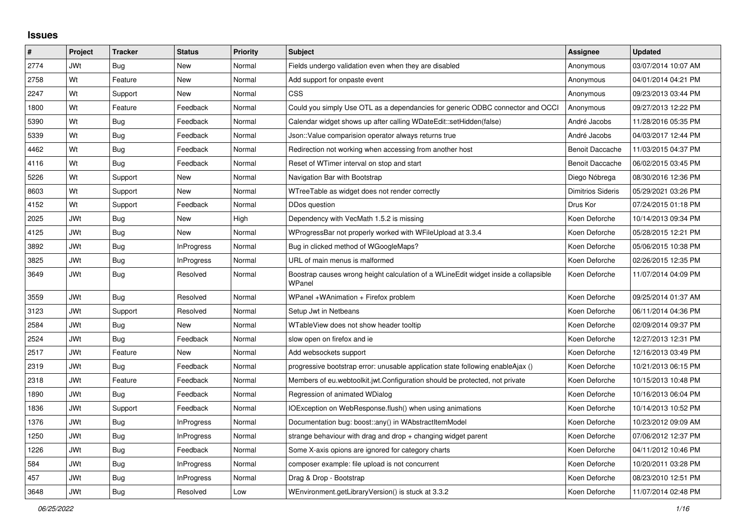## **Issues**

| #    | Project    | <b>Tracker</b> | <b>Status</b>     | <b>Priority</b> | <b>Subject</b>                                                                                | <b>Assignee</b>          | <b>Updated</b>      |
|------|------------|----------------|-------------------|-----------------|-----------------------------------------------------------------------------------------------|--------------------------|---------------------|
| 2774 | JWt        | Bug            | <b>New</b>        | Normal          | Fields undergo validation even when they are disabled                                         | Anonymous                | 03/07/2014 10:07 AM |
| 2758 | Wt         | Feature        | <b>New</b>        | Normal          | Add support for onpaste event                                                                 | Anonymous                | 04/01/2014 04:21 PM |
| 2247 | Wt         | Support        | <b>New</b>        | Normal          | CSS                                                                                           | Anonymous                | 09/23/2013 03:44 PM |
| 1800 | Wt         | Feature        | Feedback          | Normal          | Could you simply Use OTL as a dependancies for generic ODBC connector and OCCI                | Anonymous                | 09/27/2013 12:22 PM |
| 5390 | Wt         | <b>Bug</b>     | Feedback          | Normal          | Calendar widget shows up after calling WDateEdit::setHidden(false)                            | André Jacobs             | 11/28/2016 05:35 PM |
| 5339 | Wt         | Bug            | Feedback          | Normal          | Json::Value comparision operator always returns true                                          | André Jacobs             | 04/03/2017 12:44 PM |
| 4462 | Wt         | Bug            | Feedback          | Normal          | Redirection not working when accessing from another host                                      | <b>Benoit Daccache</b>   | 11/03/2015 04:37 PM |
| 4116 | Wt         | Bug            | Feedback          | Normal          | Reset of WTimer interval on stop and start                                                    | <b>Benoit Daccache</b>   | 06/02/2015 03:45 PM |
| 5226 | Wt         | Support        | <b>New</b>        | Normal          | Navigation Bar with Bootstrap                                                                 | Diego Nóbrega            | 08/30/2016 12:36 PM |
| 8603 | Wt         | Support        | <b>New</b>        | Normal          | WTreeTable as widget does not render correctly                                                | <b>Dimitrios Sideris</b> | 05/29/2021 03:26 PM |
| 4152 | Wt         | Support        | Feedback          | Normal          | DDos question                                                                                 | Drus Kor                 | 07/24/2015 01:18 PM |
| 2025 | JWt        | Bug            | <b>New</b>        | High            | Dependency with VecMath 1.5.2 is missing                                                      | Koen Deforche            | 10/14/2013 09:34 PM |
| 4125 | JWt        | <b>Bug</b>     | <b>New</b>        | Normal          | WProgressBar not properly worked with WFileUpload at 3.3.4                                    | Koen Deforche            | 05/28/2015 12:21 PM |
| 3892 | JWt        | Bug            | <b>InProgress</b> | Normal          | Bug in clicked method of WGoogleMaps?                                                         | Koen Deforche            | 05/06/2015 10:38 PM |
| 3825 | JWt        | <b>Bug</b>     | <b>InProgress</b> | Normal          | URL of main menus is malformed                                                                | Koen Deforche            | 02/26/2015 12:35 PM |
| 3649 | JWt        | <b>Bug</b>     | Resolved          | Normal          | Boostrap causes wrong height calculation of a WLineEdit widget inside a collapsible<br>WPanel | Koen Deforche            | 11/07/2014 04:09 PM |
| 3559 | JWt        | <b>Bug</b>     | Resolved          | Normal          | WPanel +WAnimation + Firefox problem                                                          | Koen Deforche            | 09/25/2014 01:37 AM |
| 3123 | <b>JWt</b> | Support        | Resolved          | Normal          | Setup Jwt in Netbeans                                                                         | Koen Deforche            | 06/11/2014 04:36 PM |
| 2584 | <b>JWt</b> | <b>Bug</b>     | <b>New</b>        | Normal          | WTableView does not show header tooltip                                                       | Koen Deforche            | 02/09/2014 09:37 PM |
| 2524 | JWt        | <b>Bug</b>     | Feedback          | Normal          | slow open on firefox and ie                                                                   | Koen Deforche            | 12/27/2013 12:31 PM |
| 2517 | JWt        | Feature        | <b>New</b>        | Normal          | Add websockets support                                                                        | Koen Deforche            | 12/16/2013 03:49 PM |
| 2319 | JWt        | Bug            | Feedback          | Normal          | progressive bootstrap error: unusable application state following enableAjax ()               | Koen Deforche            | 10/21/2013 06:15 PM |
| 2318 | <b>JWt</b> | Feature        | Feedback          | Normal          | Members of eu.webtoolkit.jwt.Configuration should be protected, not private                   | Koen Deforche            | 10/15/2013 10:48 PM |
| 1890 | JWt        | <b>Bug</b>     | Feedback          | Normal          | Regression of animated WDialog                                                                | Koen Deforche            | 10/16/2013 06:04 PM |
| 1836 | JWt        | Support        | Feedback          | Normal          | IOException on WebResponse.flush() when using animations                                      | Koen Deforche            | 10/14/2013 10:52 PM |
| 1376 | JWt        | <b>Bug</b>     | <b>InProgress</b> | Normal          | Documentation bug: boost::any() in WAbstractItemModel                                         | Koen Deforche            | 10/23/2012 09:09 AM |
| 1250 | JWt        | Bug            | <b>InProgress</b> | Normal          | strange behaviour with drag and drop + changing widget parent                                 | Koen Deforche            | 07/06/2012 12:37 PM |
| 1226 | JWt        | Bug            | Feedback          | Normal          | Some X-axis opions are ignored for category charts                                            | Koen Deforche            | 04/11/2012 10:46 PM |
| 584  | JWt        | <b>Bug</b>     | <b>InProgress</b> | Normal          | composer example: file upload is not concurrent                                               | Koen Deforche            | 10/20/2011 03:28 PM |
| 457  | JWt        | Bug            | <b>InProgress</b> | Normal          | Drag & Drop - Bootstrap                                                                       | Koen Deforche            | 08/23/2010 12:51 PM |
| 3648 | <b>JWt</b> | <b>Bug</b>     | Resolved          | Low             | WEnvironment.getLibraryVersion() is stuck at 3.3.2                                            | Koen Deforche            | 11/07/2014 02:48 PM |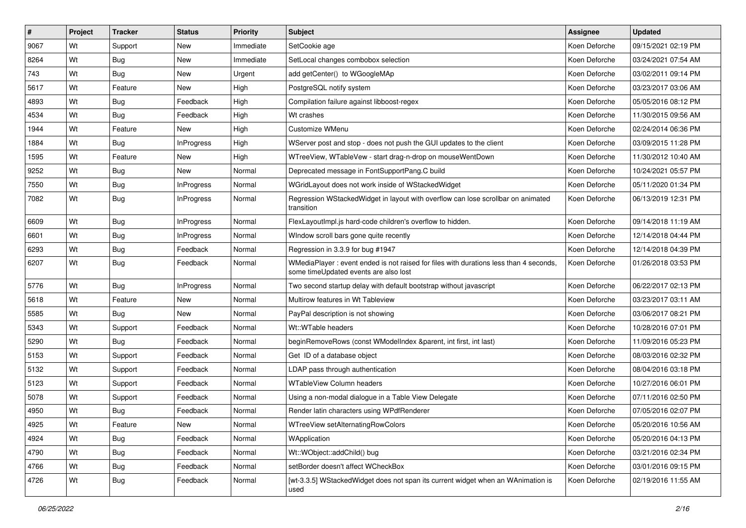| $\vert$ # | Project | <b>Tracker</b> | <b>Status</b>     | <b>Priority</b> | Subject                                                                                                                        | <b>Assignee</b> | <b>Updated</b>      |
|-----------|---------|----------------|-------------------|-----------------|--------------------------------------------------------------------------------------------------------------------------------|-----------------|---------------------|
| 9067      | Wt      | Support        | <b>New</b>        | Immediate       | SetCookie age                                                                                                                  | Koen Deforche   | 09/15/2021 02:19 PM |
| 8264      | Wt      | <b>Bug</b>     | <b>New</b>        | Immediate       | SetLocal changes combobox selection                                                                                            | Koen Deforche   | 03/24/2021 07:54 AM |
| 743       | Wt      | Bug            | New               | Urgent          | add getCenter() to WGoogleMAp                                                                                                  | Koen Deforche   | 03/02/2011 09:14 PM |
| 5617      | Wt      | Feature        | New               | High            | PostgreSQL notify system                                                                                                       | Koen Deforche   | 03/23/2017 03:06 AM |
| 4893      | Wt      | <b>Bug</b>     | Feedback          | High            | Compilation failure against libboost-regex                                                                                     | Koen Deforche   | 05/05/2016 08:12 PM |
| 4534      | Wt      | Bug            | Feedback          | High            | Wt crashes                                                                                                                     | Koen Deforche   | 11/30/2015 09:56 AM |
| 1944      | Wt      | Feature        | New               | High            | Customize WMenu                                                                                                                | Koen Deforche   | 02/24/2014 06:36 PM |
| 1884      | Wt      | Bug            | <b>InProgress</b> | High            | WServer post and stop - does not push the GUI updates to the client                                                            | Koen Deforche   | 03/09/2015 11:28 PM |
| 1595      | Wt      | Feature        | <b>New</b>        | High            | WTreeView, WTableVew - start drag-n-drop on mouseWentDown                                                                      | Koen Deforche   | 11/30/2012 10:40 AM |
| 9252      | Wt      | <b>Bug</b>     | <b>New</b>        | Normal          | Deprecated message in FontSupportPang.C build                                                                                  | Koen Deforche   | 10/24/2021 05:57 PM |
| 7550      | Wt      | <b>Bug</b>     | <b>InProgress</b> | Normal          | WGridLayout does not work inside of WStackedWidget                                                                             | Koen Deforche   | 05/11/2020 01:34 PM |
| 7082      | Wt      | <b>Bug</b>     | <b>InProgress</b> | Normal          | Regression WStackedWidget in layout with overflow can lose scrollbar on animated<br>transition                                 | Koen Deforche   | 06/13/2019 12:31 PM |
| 6609      | Wt      | Bug            | <b>InProgress</b> | Normal          | FlexLayoutImpl.js hard-code children's overflow to hidden.                                                                     | Koen Deforche   | 09/14/2018 11:19 AM |
| 6601      | Wt      | <b>Bug</b>     | <b>InProgress</b> | Normal          | WIndow scroll bars gone quite recently                                                                                         | Koen Deforche   | 12/14/2018 04:44 PM |
| 6293      | Wt      | Bug            | Feedback          | Normal          | Regression in 3.3.9 for bug #1947                                                                                              | Koen Deforche   | 12/14/2018 04:39 PM |
| 6207      | Wt      | <b>Bug</b>     | Feedback          | Normal          | WMediaPlayer: event ended is not raised for files with durations less than 4 seconds,<br>some timeUpdated events are also lost | Koen Deforche   | 01/26/2018 03:53 PM |
| 5776      | Wt      | Bug            | <b>InProgress</b> | Normal          | Two second startup delay with default bootstrap without javascript                                                             | Koen Deforche   | 06/22/2017 02:13 PM |
| 5618      | Wt      | Feature        | <b>New</b>        | Normal          | Multirow features in Wt Tableview                                                                                              | Koen Deforche   | 03/23/2017 03:11 AM |
| 5585      | Wt      | <b>Bug</b>     | <b>New</b>        | Normal          | PayPal description is not showing                                                                                              | Koen Deforche   | 03/06/2017 08:21 PM |
| 5343      | Wt      | Support        | Feedback          | Normal          | Wt::WTable headers                                                                                                             | Koen Deforche   | 10/28/2016 07:01 PM |
| 5290      | Wt      | <b>Bug</b>     | Feedback          | Normal          | beginRemoveRows (const WModelIndex &parent, int first, int last)                                                               | Koen Deforche   | 11/09/2016 05:23 PM |
| 5153      | Wt      | Support        | Feedback          | Normal          | Get ID of a database object                                                                                                    | Koen Deforche   | 08/03/2016 02:32 PM |
| 5132      | Wt      | Support        | Feedback          | Normal          | LDAP pass through authentication                                                                                               | Koen Deforche   | 08/04/2016 03:18 PM |
| 5123      | Wt      | Support        | Feedback          | Normal          | <b>WTableView Column headers</b>                                                                                               | Koen Deforche   | 10/27/2016 06:01 PM |
| 5078      | Wt      | Support        | Feedback          | Normal          | Using a non-modal dialogue in a Table View Delegate                                                                            | Koen Deforche   | 07/11/2016 02:50 PM |
| 4950      | Wt      | Bug            | Feedback          | Normal          | Render latin characters using WPdfRenderer                                                                                     | Koen Deforche   | 07/05/2016 02:07 PM |
| 4925      | Wt      | Feature        | New               | Normal          | WTreeView setAlternatingRowColors                                                                                              | Koen Deforche   | 05/20/2016 10:56 AM |
| 4924      | Wt      | <b>Bug</b>     | Feedback          | Normal          | WApplication                                                                                                                   | Koen Deforche   | 05/20/2016 04:13 PM |
| 4790      | Wt      | <b>Bug</b>     | Feedback          | Normal          | Wt::WObject::addChild() bug                                                                                                    | Koen Deforche   | 03/21/2016 02:34 PM |
| 4766      | Wt      | Bug            | Feedback          | Normal          | setBorder doesn't affect WCheckBox                                                                                             | Koen Deforche   | 03/01/2016 09:15 PM |
| 4726      | Wt      | <b>Bug</b>     | Feedback          | Normal          | [wt-3.3.5] WStackedWidget does not span its current widget when an WAnimation is<br>used                                       | Koen Deforche   | 02/19/2016 11:55 AM |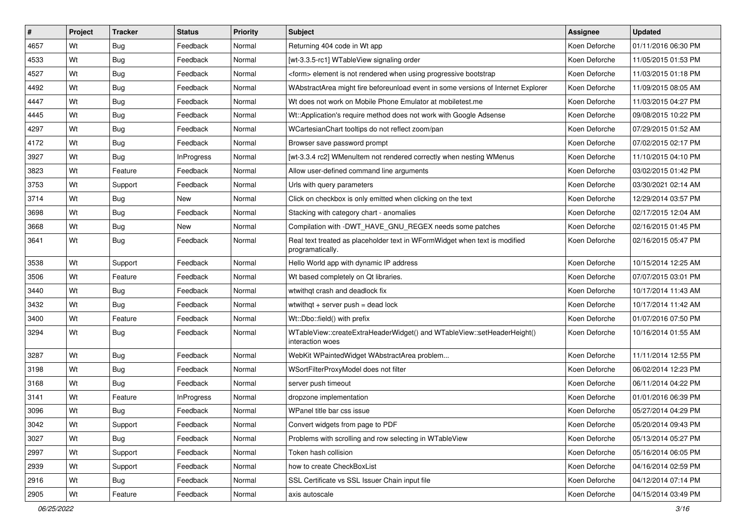| $\vert$ # | Project | <b>Tracker</b> | <b>Status</b>     | <b>Priority</b> | <b>Subject</b>                                                                                 | Assignee      | <b>Updated</b>      |
|-----------|---------|----------------|-------------------|-----------------|------------------------------------------------------------------------------------------------|---------------|---------------------|
| 4657      | Wt      | Bug            | Feedback          | Normal          | Returning 404 code in Wt app                                                                   | Koen Deforche | 01/11/2016 06:30 PM |
| 4533      | Wt      | <b>Bug</b>     | Feedback          | Normal          | [wt-3.3.5-rc1] WTableView signaling order                                                      | Koen Deforche | 11/05/2015 01:53 PM |
| 4527      | Wt      | Bug            | Feedback          | Normal          | <form> element is not rendered when using progressive bootstrap</form>                         | Koen Deforche | 11/03/2015 01:18 PM |
| 4492      | Wt      | <b>Bug</b>     | Feedback          | Normal          | WAbstractArea might fire beforeunload event in some versions of Internet Explorer              | Koen Deforche | 11/09/2015 08:05 AM |
| 4447      | Wt      | <b>Bug</b>     | Feedback          | Normal          | Wt does not work on Mobile Phone Emulator at mobiletest.me                                     | Koen Deforche | 11/03/2015 04:27 PM |
| 4445      | Wt      | <b>Bug</b>     | Feedback          | Normal          | Wt::Application's require method does not work with Google Adsense                             | Koen Deforche | 09/08/2015 10:22 PM |
| 4297      | Wt      | <b>Bug</b>     | Feedback          | Normal          | WCartesianChart tooltips do not reflect zoom/pan                                               | Koen Deforche | 07/29/2015 01:52 AM |
| 4172      | Wt      | Bug            | Feedback          | Normal          | Browser save password prompt                                                                   | Koen Deforche | 07/02/2015 02:17 PM |
| 3927      | Wt      | Bug            | <b>InProgress</b> | Normal          | [wt-3.3.4 rc2] WMenuItem not rendered correctly when nesting WMenus                            | Koen Deforche | 11/10/2015 04:10 PM |
| 3823      | Wt      | Feature        | Feedback          | Normal          | Allow user-defined command line arguments                                                      | Koen Deforche | 03/02/2015 01:42 PM |
| 3753      | Wt      | Support        | Feedback          | Normal          | Urls with query parameters                                                                     | Koen Deforche | 03/30/2021 02:14 AM |
| 3714      | Wt      | <b>Bug</b>     | <b>New</b>        | Normal          | Click on checkbox is only emitted when clicking on the text                                    | Koen Deforche | 12/29/2014 03:57 PM |
| 3698      | Wt      | <b>Bug</b>     | Feedback          | Normal          | Stacking with category chart - anomalies                                                       | Koen Deforche | 02/17/2015 12:04 AM |
| 3668      | Wt      | Bug            | New               | Normal          | Compilation with -DWT_HAVE_GNU_REGEX needs some patches                                        | Koen Deforche | 02/16/2015 01:45 PM |
| 3641      | Wt      | <b>Bug</b>     | Feedback          | Normal          | Real text treated as placeholder text in WFormWidget when text is modified<br>programatically. | Koen Deforche | 02/16/2015 05:47 PM |
| 3538      | Wt      | Support        | Feedback          | Normal          | Hello World app with dynamic IP address                                                        | Koen Deforche | 10/15/2014 12:25 AM |
| 3506      | Wt      | Feature        | Feedback          | Normal          | Wt based completely on Qt libraries.                                                           | Koen Deforche | 07/07/2015 03:01 PM |
| 3440      | Wt      | <b>Bug</b>     | Feedback          | Normal          | wtwithgt crash and deadlock fix                                                                | Koen Deforche | 10/17/2014 11:43 AM |
| 3432      | Wt      | Bug            | Feedback          | Normal          | wtwithgt $+$ server push $=$ dead lock                                                         | Koen Deforche | 10/17/2014 11:42 AM |
| 3400      | Wt      | Feature        | Feedback          | Normal          | Wt::Dbo::field() with prefix                                                                   | Koen Deforche | 01/07/2016 07:50 PM |
| 3294      | Wt      | <b>Bug</b>     | Feedback          | Normal          | WTableView::createExtraHeaderWidget() and WTableView::setHeaderHeight()<br>interaction woes    | Koen Deforche | 10/16/2014 01:55 AM |
| 3287      | Wt      | Bug            | Feedback          | Normal          | WebKit WPaintedWidget WAbstractArea problem                                                    | Koen Deforche | 11/11/2014 12:55 PM |
| 3198      | Wt      | <b>Bug</b>     | Feedback          | Normal          | WSortFilterProxyModel does not filter                                                          | Koen Deforche | 06/02/2014 12:23 PM |
| 3168      | Wt      | Bug            | Feedback          | Normal          | server push timeout                                                                            | Koen Deforche | 06/11/2014 04:22 PM |
| 3141      | Wt      | Feature        | <b>InProgress</b> | Normal          | dropzone implementation                                                                        | Koen Deforche | 01/01/2016 06:39 PM |
| 3096      | Wt      | <b>Bug</b>     | Feedback          | Normal          | WPanel title bar css issue                                                                     | Koen Deforche | 05/27/2014 04:29 PM |
| 3042      | Wt      | Support        | Feedback          | Normal          | Convert widgets from page to PDF                                                               | Koen Deforche | 05/20/2014 09:43 PM |
| 3027      | Wt      | Bug            | Feedback          | Normal          | Problems with scrolling and row selecting in WTableView                                        | Koen Deforche | 05/13/2014 05:27 PM |
| 2997      | Wt      | Support        | Feedback          | Normal          | Token hash collision                                                                           | Koen Deforche | 05/16/2014 06:05 PM |
| 2939      | Wt      | Support        | Feedback          | Normal          | how to create CheckBoxList                                                                     | Koen Deforche | 04/16/2014 02:59 PM |
| 2916      | Wt      | Bug            | Feedback          | Normal          | SSL Certificate vs SSL Issuer Chain input file                                                 | Koen Deforche | 04/12/2014 07:14 PM |
| 2905      | Wt      | Feature        | Feedback          | Normal          | axis autoscale                                                                                 | Koen Deforche | 04/15/2014 03:49 PM |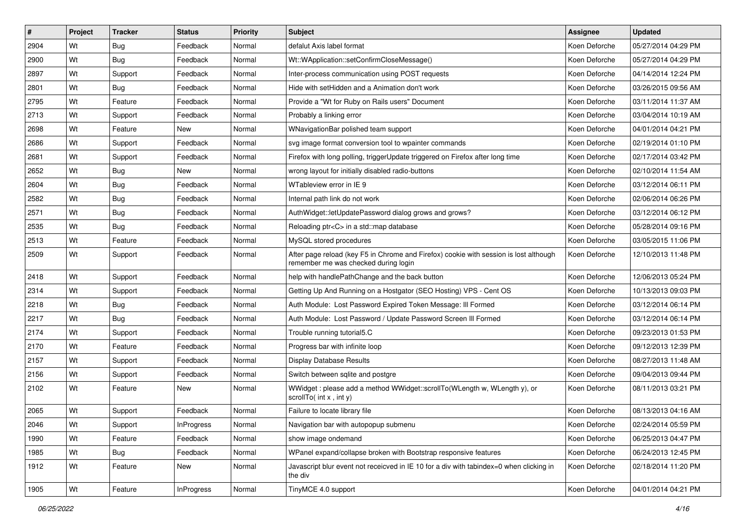| #    | Project | <b>Tracker</b> | <b>Status</b>     | <b>Priority</b> | Subject                                                                                                                       | <b>Assignee</b> | <b>Updated</b>      |
|------|---------|----------------|-------------------|-----------------|-------------------------------------------------------------------------------------------------------------------------------|-----------------|---------------------|
| 2904 | Wt      | Bug            | Feedback          | Normal          | defalut Axis label format                                                                                                     | Koen Deforche   | 05/27/2014 04:29 PM |
| 2900 | Wt      | <b>Bug</b>     | Feedback          | Normal          | Wt::WApplication::setConfirmCloseMessage()                                                                                    | Koen Deforche   | 05/27/2014 04:29 PM |
| 2897 | Wt      | Support        | Feedback          | Normal          | Inter-process communication using POST requests                                                                               | Koen Deforche   | 04/14/2014 12:24 PM |
| 2801 | Wt      | Bug            | Feedback          | Normal          | Hide with setHidden and a Animation don't work                                                                                | Koen Deforche   | 03/26/2015 09:56 AM |
| 2795 | Wt      | Feature        | Feedback          | Normal          | Provide a "Wt for Ruby on Rails users" Document                                                                               | Koen Deforche   | 03/11/2014 11:37 AM |
| 2713 | Wt      | Support        | Feedback          | Normal          | Probably a linking error                                                                                                      | Koen Deforche   | 03/04/2014 10:19 AM |
| 2698 | Wt      | Feature        | New               | Normal          | WNavigationBar polished team support                                                                                          | Koen Deforche   | 04/01/2014 04:21 PM |
| 2686 | Wt      | Support        | Feedback          | Normal          | svg image format conversion tool to wpainter commands                                                                         | Koen Deforche   | 02/19/2014 01:10 PM |
| 2681 | Wt      | Support        | Feedback          | Normal          | Firefox with long polling, triggerUpdate triggered on Firefox after long time                                                 | Koen Deforche   | 02/17/2014 03:42 PM |
| 2652 | Wt      | <b>Bug</b>     | New               | Normal          | wrong layout for initially disabled radio-buttons                                                                             | Koen Deforche   | 02/10/2014 11:54 AM |
| 2604 | Wt      | Bug            | Feedback          | Normal          | WTableview error in IE 9                                                                                                      | Koen Deforche   | 03/12/2014 06:11 PM |
| 2582 | Wt      | <b>Bug</b>     | Feedback          | Normal          | Internal path link do not work                                                                                                | Koen Deforche   | 02/06/2014 06:26 PM |
| 2571 | Wt      | <b>Bug</b>     | Feedback          | Normal          | AuthWidget::letUpdatePassword dialog grows and grows?                                                                         | Koen Deforche   | 03/12/2014 06:12 PM |
| 2535 | Wt      | Bug            | Feedback          | Normal          | Reloading ptr <c> in a std::map database</c>                                                                                  | Koen Deforche   | 05/28/2014 09:16 PM |
| 2513 | Wt      | Feature        | Feedback          | Normal          | MySQL stored procedures                                                                                                       | Koen Deforche   | 03/05/2015 11:06 PM |
| 2509 | Wt      | Support        | Feedback          | Normal          | After page reload (key F5 in Chrome and Firefox) cookie with session is lost although<br>remember me was checked during login | Koen Deforche   | 12/10/2013 11:48 PM |
| 2418 | Wt      | Support        | Feedback          | Normal          | help with handlePathChange and the back button                                                                                | Koen Deforche   | 12/06/2013 05:24 PM |
| 2314 | Wt      | Support        | Feedback          | Normal          | Getting Up And Running on a Hostgator (SEO Hosting) VPS - Cent OS                                                             | Koen Deforche   | 10/13/2013 09:03 PM |
| 2218 | Wt      | Bug            | Feedback          | Normal          | Auth Module: Lost Password Expired Token Message: Ill Formed                                                                  | Koen Deforche   | 03/12/2014 06:14 PM |
| 2217 | Wt      | Bug            | Feedback          | Normal          | Auth Module: Lost Password / Update Password Screen III Formed                                                                | Koen Deforche   | 03/12/2014 06:14 PM |
| 2174 | Wt      | Support        | Feedback          | Normal          | Trouble running tutorial5.C                                                                                                   | Koen Deforche   | 09/23/2013 01:53 PM |
| 2170 | Wt      | Feature        | Feedback          | Normal          | Progress bar with infinite loop                                                                                               | Koen Deforche   | 09/12/2013 12:39 PM |
| 2157 | Wt      | Support        | Feedback          | Normal          | Display Database Results                                                                                                      | Koen Deforche   | 08/27/2013 11:48 AM |
| 2156 | Wt      | Support        | Feedback          | Normal          | Switch between sglite and postgre                                                                                             | Koen Deforche   | 09/04/2013 09:44 PM |
| 2102 | Wt      | Feature        | <b>New</b>        | Normal          | WWidget: please add a method WWidget::scrollTo(WLength w, WLength y), or<br>scrollTo( $int x$ , $int y$ )                     | Koen Deforche   | 08/11/2013 03:21 PM |
| 2065 | Wt      | Support        | Feedback          | Normal          | Failure to locate library file                                                                                                | Koen Deforche   | 08/13/2013 04:16 AM |
| 2046 | Wt      | Support        | InProgress        | Normal          | Navigation bar with autopopup submenu                                                                                         | Koen Deforche   | 02/24/2014 05:59 PM |
| 1990 | Wt      | Feature        | Feedback          | Normal          | show image ondemand                                                                                                           | Koen Deforche   | 06/25/2013 04:47 PM |
| 1985 | Wt      | <b>Bug</b>     | Feedback          | Normal          | WPanel expand/collapse broken with Bootstrap responsive features                                                              | Koen Deforche   | 06/24/2013 12:45 PM |
| 1912 | Wt      | Feature        | New               | Normal          | Javascript blur event not receicved in IE 10 for a div with tabindex=0 when clicking in<br>the div                            | Koen Deforche   | 02/18/2014 11:20 PM |
| 1905 | Wt      | Feature        | <b>InProgress</b> | Normal          | TinyMCE 4.0 support                                                                                                           | Koen Deforche   | 04/01/2014 04:21 PM |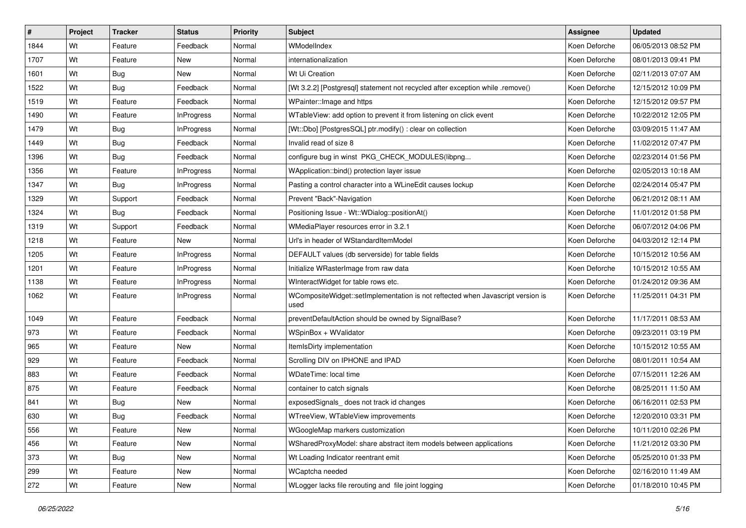| $\vert$ # | Project | <b>Tracker</b> | <b>Status</b>     | <b>Priority</b> | Subject                                                                                 | <b>Assignee</b> | <b>Updated</b>      |
|-----------|---------|----------------|-------------------|-----------------|-----------------------------------------------------------------------------------------|-----------------|---------------------|
| 1844      | Wt      | Feature        | Feedback          | Normal          | WModelIndex                                                                             | Koen Deforche   | 06/05/2013 08:52 PM |
| 1707      | Wt      | Feature        | <b>New</b>        | Normal          | internationalization                                                                    | Koen Deforche   | 08/01/2013 09:41 PM |
| 1601      | Wt      | <b>Bug</b>     | New               | Normal          | Wt Ui Creation                                                                          | Koen Deforche   | 02/11/2013 07:07 AM |
| 1522      | Wt      | <b>Bug</b>     | Feedback          | Normal          | [Wt 3.2.2] [Postgresql] statement not recycled after exception while .remove()          | Koen Deforche   | 12/15/2012 10:09 PM |
| 1519      | Wt      | Feature        | Feedback          | Normal          | WPainter:: Image and https                                                              | Koen Deforche   | 12/15/2012 09:57 PM |
| 1490      | Wt      | Feature        | <b>InProgress</b> | Normal          | WTableView: add option to prevent it from listening on click event                      | Koen Deforche   | 10/22/2012 12:05 PM |
| 1479      | Wt      | <b>Bug</b>     | <b>InProgress</b> | Normal          | [Wt::Dbo] [PostgresSQL] ptr.modify() : clear on collection                              | Koen Deforche   | 03/09/2015 11:47 AM |
| 1449      | Wt      | Bug            | Feedback          | Normal          | Invalid read of size 8                                                                  | Koen Deforche   | 11/02/2012 07:47 PM |
| 1396      | Wt      | Bug            | Feedback          | Normal          | configure bug in winst PKG_CHECK_MODULES(libpng                                         | Koen Deforche   | 02/23/2014 01:56 PM |
| 1356      | Wt      | Feature        | <b>InProgress</b> | Normal          | WApplication::bind() protection layer issue                                             | Koen Deforche   | 02/05/2013 10:18 AM |
| 1347      | Wt      | Bug            | <b>InProgress</b> | Normal          | Pasting a control character into a WLineEdit causes lockup                              | Koen Deforche   | 02/24/2014 05:47 PM |
| 1329      | Wt      | Support        | Feedback          | Normal          | Prevent "Back"-Navigation                                                               | Koen Deforche   | 06/21/2012 08:11 AM |
| 1324      | Wt      | Bug            | Feedback          | Normal          | Positioning Issue - Wt::WDialog::positionAt()                                           | Koen Deforche   | 11/01/2012 01:58 PM |
| 1319      | Wt      | Support        | Feedback          | Normal          | WMediaPlayer resources error in 3.2.1                                                   | Koen Deforche   | 06/07/2012 04:06 PM |
| 1218      | Wt      | Feature        | <b>New</b>        | Normal          | Url's in header of WStandardItemModel                                                   | Koen Deforche   | 04/03/2012 12:14 PM |
| 1205      | Wt      | Feature        | <b>InProgress</b> | Normal          | DEFAULT values (db serverside) for table fields                                         | Koen Deforche   | 10/15/2012 10:56 AM |
| 1201      | Wt      | Feature        | <b>InProgress</b> | Normal          | Initialize WRasterImage from raw data                                                   | Koen Deforche   | 10/15/2012 10:55 AM |
| 1138      | Wt      | Feature        | <b>InProgress</b> | Normal          | WInteractWidget for table rows etc.                                                     | Koen Deforche   | 01/24/2012 09:36 AM |
| 1062      | Wt      | Feature        | <b>InProgress</b> | Normal          | WCompositeWidget::setImplementation is not reftected when Javascript version is<br>used | Koen Deforche   | 11/25/2011 04:31 PM |
| 1049      | Wt      | Feature        | Feedback          | Normal          | preventDefaultAction should be owned by SignalBase?                                     | Koen Deforche   | 11/17/2011 08:53 AM |
| 973       | Wt      | Feature        | Feedback          | Normal          | WSpinBox + WValidator                                                                   | Koen Deforche   | 09/23/2011 03:19 PM |
| 965       | Wt      | Feature        | <b>New</b>        | Normal          | ItemIsDirty implementation                                                              | Koen Deforche   | 10/15/2012 10:55 AM |
| 929       | Wt      | Feature        | Feedback          | Normal          | Scrolling DIV on IPHONE and IPAD                                                        | Koen Deforche   | 08/01/2011 10:54 AM |
| 883       | Wt      | Feature        | Feedback          | Normal          | <b>WDateTime: local time</b>                                                            | Koen Deforche   | 07/15/2011 12:26 AM |
| 875       | Wt      | Feature        | Feedback          | Normal          | container to catch signals                                                              | Koen Deforche   | 08/25/2011 11:50 AM |
| 841       | Wt      | Bug            | New               | Normal          | exposedSignals_does not track id changes                                                | Koen Deforche   | 06/16/2011 02:53 PM |
| 630       | Wt      | <b>Bug</b>     | Feedback          | Normal          | WTreeView, WTableView improvements                                                      | Koen Deforche   | 12/20/2010 03:31 PM |
| 556       | Wt      | Feature        | New               | Normal          | WGoogleMap markers customization                                                        | Koen Deforche   | 10/11/2010 02:26 PM |
| 456       | Wt      | Feature        | New               | Normal          | WSharedProxyModel: share abstract item models between applications                      | Koen Deforche   | 11/21/2012 03:30 PM |
| 373       | Wt      | <b>Bug</b>     | New               | Normal          | Wt Loading Indicator reentrant emit                                                     | Koen Deforche   | 05/25/2010 01:33 PM |
| 299       | Wt      | Feature        | New               | Normal          | WCaptcha needed                                                                         | Koen Deforche   | 02/16/2010 11:49 AM |
| 272       | Wt      | Feature        | New               | Normal          | WLogger lacks file rerouting and file joint logging                                     | Koen Deforche   | 01/18/2010 10:45 PM |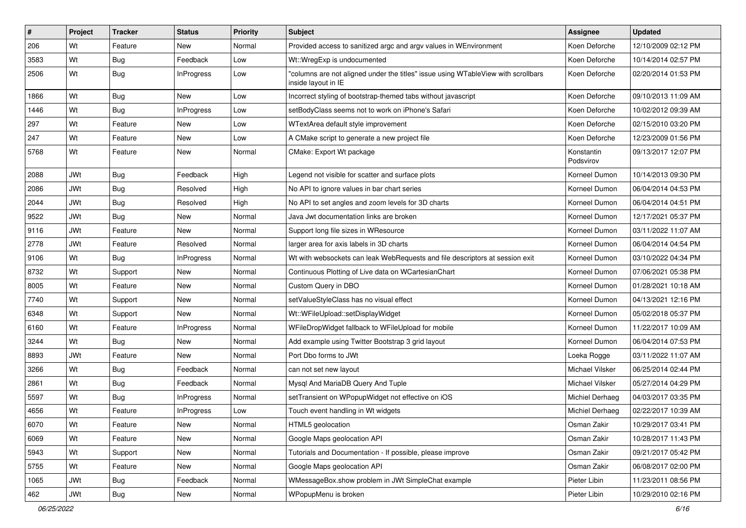| #    | Project    | <b>Tracker</b> | <b>Status</b>     | <b>Priority</b> | Subject                                                                                                  | Assignee                | <b>Updated</b>      |
|------|------------|----------------|-------------------|-----------------|----------------------------------------------------------------------------------------------------------|-------------------------|---------------------|
| 206  | Wt         | Feature        | New               | Normal          | Provided access to sanitized argc and argy values in WEnvironment                                        | Koen Deforche           | 12/10/2009 02:12 PM |
| 3583 | Wt         | <b>Bug</b>     | Feedback          | Low             | Wt::WregExp is undocumented                                                                              | Koen Deforche           | 10/14/2014 02:57 PM |
| 2506 | Wt         | <b>Bug</b>     | <b>InProgress</b> | Low             | "columns are not aligned under the titles" issue using WTableView with scrollbars<br>inside layout in IE | Koen Deforche           | 02/20/2014 01:53 PM |
| 1866 | Wt         | <b>Bug</b>     | <b>New</b>        | Low             | Incorrect styling of bootstrap-themed tabs without javascript                                            | Koen Deforche           | 09/10/2013 11:09 AM |
| 1446 | Wt         | Bug            | <b>InProgress</b> | Low             | setBodyClass seems not to work on iPhone's Safari                                                        | Koen Deforche           | 10/02/2012 09:39 AM |
| 297  | Wt         | Feature        | <b>New</b>        | Low             | WTextArea default style improvement                                                                      | Koen Deforche           | 02/15/2010 03:20 PM |
| 247  | Wt         | Feature        | <b>New</b>        | Low             | A CMake script to generate a new project file                                                            | Koen Deforche           | 12/23/2009 01:56 PM |
| 5768 | Wt         | Feature        | <b>New</b>        | Normal          | CMake: Export Wt package                                                                                 | Konstantin<br>Podsvirov | 09/13/2017 12:07 PM |
| 2088 | JWt        | <b>Bug</b>     | Feedback          | High            | Legend not visible for scatter and surface plots                                                         | Korneel Dumon           | 10/14/2013 09:30 PM |
| 2086 | <b>JWt</b> | <b>Bug</b>     | Resolved          | High            | No API to ignore values in bar chart series                                                              | Korneel Dumon           | 06/04/2014 04:53 PM |
| 2044 | <b>JWt</b> | <b>Bug</b>     | Resolved          | High            | No API to set angles and zoom levels for 3D charts                                                       | Korneel Dumon           | 06/04/2014 04:51 PM |
| 9522 | JWt        | Bug            | <b>New</b>        | Normal          | Java Jwt documentation links are broken                                                                  | Korneel Dumon           | 12/17/2021 05:37 PM |
| 9116 | <b>JWt</b> | Feature        | New               | Normal          | Support long file sizes in WResource                                                                     | Korneel Dumon           | 03/11/2022 11:07 AM |
| 2778 | <b>JWt</b> | Feature        | Resolved          | Normal          | larger area for axis labels in 3D charts                                                                 | Korneel Dumon           | 06/04/2014 04:54 PM |
| 9106 | Wt         | Bug            | <b>InProgress</b> | Normal          | Wt with websockets can leak WebRequests and file descriptors at session exit                             | Korneel Dumon           | 03/10/2022 04:34 PM |
| 8732 | Wt         | Support        | <b>New</b>        | Normal          | Continuous Plotting of Live data on WCartesianChart                                                      | Korneel Dumon           | 07/06/2021 05:38 PM |
| 8005 | Wt         | Feature        | New               | Normal          | Custom Query in DBO                                                                                      | Korneel Dumon           | 01/28/2021 10:18 AM |
| 7740 | Wt         | Support        | <b>New</b>        | Normal          | setValueStyleClass has no visual effect                                                                  | Korneel Dumon           | 04/13/2021 12:16 PM |
| 6348 | Wt         | Support        | <b>New</b>        | Normal          | Wt::WFileUpload::setDisplayWidget                                                                        | Korneel Dumon           | 05/02/2018 05:37 PM |
| 6160 | Wt         | Feature        | <b>InProgress</b> | Normal          | WFileDropWidget fallback to WFileUpload for mobile                                                       | Korneel Dumon           | 11/22/2017 10:09 AM |
| 3244 | Wt         | <b>Bug</b>     | <b>New</b>        | Normal          | Add example using Twitter Bootstrap 3 grid layout                                                        | Korneel Dumon           | 06/04/2014 07:53 PM |
| 8893 | <b>JWt</b> | Feature        | New               | Normal          | Port Dbo forms to JWt                                                                                    | Loeka Rogge             | 03/11/2022 11:07 AM |
| 3266 | Wt         | <b>Bug</b>     | Feedback          | Normal          | can not set new layout                                                                                   | Michael Vilsker         | 06/25/2014 02:44 PM |
| 2861 | Wt         | <b>Bug</b>     | Feedback          | Normal          | Mysql And MariaDB Query And Tuple                                                                        | Michael Vilsker         | 05/27/2014 04:29 PM |
| 5597 | Wt         | <b>Bug</b>     | <b>InProgress</b> | Normal          | setTransient on WPopupWidget not effective on iOS                                                        | Michiel Derhaeg         | 04/03/2017 03:35 PM |
| 4656 | Wt         | Feature        | <b>InProgress</b> | Low             | Touch event handling in Wt widgets                                                                       | Michiel Derhaeg         | 02/22/2017 10:39 AM |
| 6070 | Wt         | Feature        | New               | Normal          | HTML5 geolocation                                                                                        | Osman Zakir             | 10/29/2017 03:41 PM |
| 6069 | Wt         | Feature        | New               | Normal          | Google Maps geolocation API                                                                              | Osman Zakir             | 10/28/2017 11:43 PM |
| 5943 | Wt         | Support        | New               | Normal          | Tutorials and Documentation - If possible, please improve                                                | Osman Zakir             | 09/21/2017 05:42 PM |
| 5755 | Wt         | Feature        | New               | Normal          | Google Maps geolocation API                                                                              | Osman Zakir             | 06/08/2017 02:00 PM |
| 1065 | JWt        | <b>Bug</b>     | Feedback          | Normal          | WMessageBox.show problem in JWt SimpleChat example                                                       | Pieter Libin            | 11/23/2011 08:56 PM |
| 462  | JWt        | Bug            | New               | Normal          | WPopupMenu is broken                                                                                     | Pieter Libin            | 10/29/2010 02:16 PM |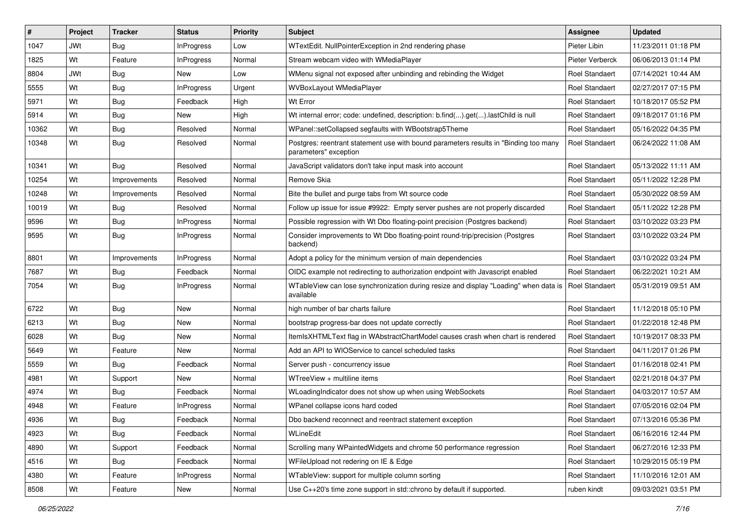| #     | Project    | <b>Tracker</b> | <b>Status</b>     | <b>Priority</b> | Subject                                                                                                            | <b>Assignee</b>       | <b>Updated</b>      |
|-------|------------|----------------|-------------------|-----------------|--------------------------------------------------------------------------------------------------------------------|-----------------------|---------------------|
| 1047  | <b>JWt</b> | <b>Bug</b>     | <b>InProgress</b> | Low             | WTextEdit. NullPointerException in 2nd rendering phase                                                             | Pieter Libin          | 11/23/2011 01:18 PM |
| 1825  | Wt         | Feature        | <b>InProgress</b> | Normal          | Stream webcam video with WMediaPlayer                                                                              | Pieter Verberck       | 06/06/2013 01:14 PM |
| 8804  | <b>JWt</b> | <b>Bug</b>     | New               | Low             | WMenu signal not exposed after unbinding and rebinding the Widget                                                  | <b>Roel Standaert</b> | 07/14/2021 10:44 AM |
| 5555  | Wt         | Bug            | <b>InProgress</b> | Urgent          | WVBoxLayout WMediaPlayer                                                                                           | <b>Roel Standaert</b> | 02/27/2017 07:15 PM |
| 5971  | Wt         | Bug            | Feedback          | High            | Wt Error                                                                                                           | <b>Roel Standaert</b> | 10/18/2017 05:52 PM |
| 5914  | Wt         | <b>Bug</b>     | New               | High            | Wt internal error; code: undefined, description: b.find().get().lastChild is null                                  | <b>Roel Standaert</b> | 09/18/2017 01:16 PM |
| 10362 | Wt         | Bug            | Resolved          | Normal          | WPanel::setCollapsed segfaults with WBootstrap5Theme                                                               | Roel Standaert        | 05/16/2022 04:35 PM |
| 10348 | Wt         | Bug            | Resolved          | Normal          | Postgres: reentrant statement use with bound parameters results in "Binding too many<br>parameters" exception      | <b>Roel Standaert</b> | 06/24/2022 11:08 AM |
| 10341 | Wt         | Bug            | Resolved          | Normal          | JavaScript validators don't take input mask into account                                                           | <b>Roel Standaert</b> | 05/13/2022 11:11 AM |
| 10254 | Wt         | Improvements   | Resolved          | Normal          | Remove Skia                                                                                                        | Roel Standaert        | 05/11/2022 12:28 PM |
| 10248 | Wt         | Improvements   | Resolved          | Normal          | Bite the bullet and purge tabs from Wt source code                                                                 | <b>Roel Standaert</b> | 05/30/2022 08:59 AM |
| 10019 | Wt         | <b>Bug</b>     | Resolved          | Normal          | Follow up issue for issue #9922: Empty server pushes are not properly discarded                                    | <b>Roel Standaert</b> | 05/11/2022 12:28 PM |
| 9596  | Wt         | <b>Bug</b>     | <b>InProgress</b> | Normal          | Possible regression with Wt Dbo floating-point precision (Postgres backend)                                        | <b>Roel Standaert</b> | 03/10/2022 03:23 PM |
| 9595  | Wt         | <b>Bug</b>     | InProgress        | Normal          | Consider improvements to Wt Dbo floating-point round-trip/precision (Postgres<br>backend)                          | Roel Standaert        | 03/10/2022 03:24 PM |
| 8801  | Wt         | Improvements   | <b>InProgress</b> | Normal          | Adopt a policy for the minimum version of main dependencies                                                        | Roel Standaert        | 03/10/2022 03:24 PM |
| 7687  | Wt         | Bug            | Feedback          | Normal          | OIDC example not redirecting to authorization endpoint with Javascript enabled                                     | <b>Roel Standaert</b> | 06/22/2021 10:21 AM |
| 7054  | Wt         | <b>Bug</b>     | <b>InProgress</b> | Normal          | WTableView can lose synchronization during resize and display "Loading" when data is   Roel Standaert<br>available |                       | 05/31/2019 09:51 AM |
| 6722  | Wt         | <b>Bug</b>     | <b>New</b>        | Normal          | high number of bar charts failure                                                                                  | <b>Roel Standaert</b> | 11/12/2018 05:10 PM |
| 6213  | Wt         | <b>Bug</b>     | New               | Normal          | bootstrap progress-bar does not update correctly                                                                   | <b>Roel Standaert</b> | 01/22/2018 12:48 PM |
| 6028  | Wt         | <b>Bug</b>     | New               | Normal          | ItemIsXHTMLText flag in WAbstractChartModel causes crash when chart is rendered                                    | <b>Roel Standaert</b> | 10/19/2017 08:33 PM |
| 5649  | Wt         | Feature        | New               | Normal          | Add an API to WIOService to cancel scheduled tasks                                                                 | Roel Standaert        | 04/11/2017 01:26 PM |
| 5559  | Wt         | Bug            | Feedback          | Normal          | Server push - concurrency issue                                                                                    | Roel Standaert        | 01/16/2018 02:41 PM |
| 4981  | Wt         | Support        | <b>New</b>        | Normal          | WTreeView + multiline items                                                                                        | Roel Standaert        | 02/21/2018 04:37 PM |
| 4974  | Wt         | <b>Bug</b>     | Feedback          | Normal          | WLoadingIndicator does not show up when using WebSockets                                                           | <b>Roel Standaert</b> | 04/03/2017 10:57 AM |
| 4948  | Wt         | Feature        | InProgress        | Normal          | WPanel collapse icons hard coded                                                                                   | Roel Standaert        | 07/05/2016 02:04 PM |
| 4936  | Wt         | Bug            | Feedback          | Normal          | Dbo backend reconnect and reentract statement exception                                                            | Roel Standaert        | 07/13/2016 05:36 PM |
| 4923  | Wt         | Bug            | Feedback          | Normal          | WLineEdit                                                                                                          | Roel Standaert        | 06/16/2016 12:44 PM |
| 4890  | Wt         | Support        | Feedback          | Normal          | Scrolling many WPaintedWidgets and chrome 50 performance regression                                                | Roel Standaert        | 06/27/2016 12:33 PM |
| 4516  | Wt         | Bug            | Feedback          | Normal          | WFileUpload not redering on IE & Edge                                                                              | Roel Standaert        | 10/29/2015 05:19 PM |
| 4380  | Wt         | Feature        | <b>InProgress</b> | Normal          | WTableView: support for multiple column sorting                                                                    | Roel Standaert        | 11/10/2016 12:01 AM |
| 8508  | Wt         | Feature        | New               | Normal          | Use C++20's time zone support in std::chrono by default if supported.                                              | ruben kindt           | 09/03/2021 03:51 PM |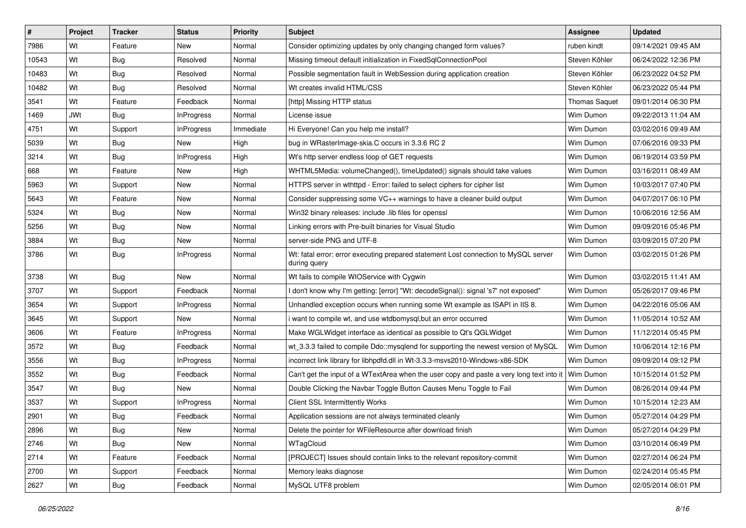| $\vert$ # | Project    | <b>Tracker</b> | <b>Status</b>     | <b>Priority</b> | Subject                                                                                              | <b>Assignee</b>      | <b>Updated</b>      |
|-----------|------------|----------------|-------------------|-----------------|------------------------------------------------------------------------------------------------------|----------------------|---------------------|
| 7986      | Wt         | Feature        | New               | Normal          | Consider optimizing updates by only changing changed form values?                                    | ruben kindt          | 09/14/2021 09:45 AM |
| 10543     | Wt         | <b>Bug</b>     | Resolved          | Normal          | Missing timeout default initialization in FixedSqlConnectionPool                                     | Steven Köhler        | 06/24/2022 12:36 PM |
| 10483     | Wt         | <b>Bug</b>     | Resolved          | Normal          | Possible segmentation fault in WebSession during application creation                                | Steven Köhler        | 06/23/2022 04:52 PM |
| 10482     | Wt         | Bug            | Resolved          | Normal          | Wt creates invalid HTML/CSS                                                                          | Steven Köhler        | 06/23/2022 05:44 PM |
| 3541      | Wt         | Feature        | Feedback          | Normal          | [http] Missing HTTP status                                                                           | <b>Thomas Saquet</b> | 09/01/2014 06:30 PM |
| 1469      | <b>JWt</b> | Bug            | <b>InProgress</b> | Normal          | License issue                                                                                        | Wim Dumon            | 09/22/2013 11:04 AM |
| 4751      | Wt         | Support        | <b>InProgress</b> | Immediate       | Hi Everyone! Can you help me install?                                                                | Wim Dumon            | 03/02/2016 09:49 AM |
| 5039      | Wt         | Bug            | New               | High            | bug in WRasterImage-skia.C occurs in 3.3.6 RC 2                                                      | Wim Dumon            | 07/06/2016 09:33 PM |
| 3214      | Wt         | Bug            | <b>InProgress</b> | High            | Wt's http server endless loop of GET requests                                                        | Wim Dumon            | 06/19/2014 03:59 PM |
| 668       | Wt         | Feature        | <b>New</b>        | High            | WHTML5Media: volumeChanged(), timeUpdated() signals should take values                               | Wim Dumon            | 03/16/2011 08:49 AM |
| 5963      | Wt         | Support        | New               | Normal          | HTTPS server in wthttpd - Error: failed to select ciphers for cipher list                            | Wim Dumon            | 10/03/2017 07:40 PM |
| 5643      | Wt         | Feature        | New               | Normal          | Consider suppressing some VC++ warnings to have a cleaner build output                               | Wim Dumon            | 04/07/2017 06:10 PM |
| 5324      | Wt         | Bug            | <b>New</b>        | Normal          | Win32 binary releases: include .lib files for openssl                                                | Wim Dumon            | 10/06/2016 12:56 AM |
| 5256      | Wt         | Bug            | New               | Normal          | Linking errors with Pre-built binaries for Visual Studio                                             | Wim Dumon            | 09/09/2016 05:46 PM |
| 3884      | Wt         | <b>Bug</b>     | <b>New</b>        | Normal          | server-side PNG and UTF-8                                                                            | Wim Dumon            | 03/09/2015 07:20 PM |
| 3786      | Wt         | <b>Bug</b>     | <b>InProgress</b> | Normal          | Wt: fatal error: error executing prepared statement Lost connection to MySQL server<br>during query  | Wim Dumon            | 03/02/2015 01:26 PM |
| 3738      | Wt         | Bug            | <b>New</b>        | Normal          | Wt fails to compile WIOService with Cygwin                                                           | Wim Dumon            | 03/02/2015 11:41 AM |
| 3707      | Wt         | Support        | Feedback          | Normal          | don't know why I'm getting: [error] "Wt: decodeSignal(): signal 's7' not exposed"                    | Wim Dumon            | 05/26/2017 09:46 PM |
| 3654      | Wt         | Support        | <b>InProgress</b> | Normal          | Unhandled exception occurs when running some Wt example as ISAPI in IIS 8.                           | Wim Dumon            | 04/22/2016 05:06 AM |
| 3645      | Wt         | Support        | New               | Normal          | i want to compile wt, and use wtdbomysql,but an error occurred                                       | Wim Dumon            | 11/05/2014 10:52 AM |
| 3606      | Wt         | Feature        | <b>InProgress</b> | Normal          | Make WGLWidget interface as identical as possible to Qt's QGLWidget                                  | Wim Dumon            | 11/12/2014 05:45 PM |
| 3572      | Wt         | Bug            | Feedback          | Normal          | wt_3.3.3 failed to compile Ddo::mysqlend for supporting the newest version of MySQL                  | Wim Dumon            | 10/06/2014 12:16 PM |
| 3556      | Wt         | <b>Bug</b>     | <b>InProgress</b> | Normal          | incorrect link library for libhpdfd.dll in Wt-3.3.3-msvs2010-Windows-x86-SDK                         | Wim Dumon            | 09/09/2014 09:12 PM |
| 3552      | Wt         | Bug            | Feedback          | Normal          | Can't get the input of a WTextArea when the user copy and paste a very long text into it   Wim Dumon |                      | 10/15/2014 01:52 PM |
| 3547      | Wt         | Bug            | New               | Normal          | Double Clicking the Navbar Toggle Button Causes Menu Toggle to Fail                                  | Wim Dumon            | 08/26/2014 09:44 PM |
| 3537      | Wt         | Support        | <b>InProgress</b> | Normal          | <b>Client SSL Intermittently Works</b>                                                               | Wim Dumon            | 10/15/2014 12:23 AM |
| 2901      | Wt         | <b>Bug</b>     | Feedback          | Normal          | Application sessions are not always terminated cleanly                                               | Wim Dumon            | 05/27/2014 04:29 PM |
| 2896      | Wt         | Bug            | New               | Normal          | Delete the pointer for WFileResource after download finish                                           | Wim Dumon            | 05/27/2014 04:29 PM |
| 2746      | Wt         | <b>Bug</b>     | New               | Normal          | WTagCloud                                                                                            | Wim Dumon            | 03/10/2014 06:49 PM |
| 2714      | Wt         | Feature        | Feedback          | Normal          | [PROJECT] Issues should contain links to the relevant repository-commit                              | Wim Dumon            | 02/27/2014 06:24 PM |
| 2700      | Wt         | Support        | Feedback          | Normal          | Memory leaks diagnose                                                                                | Wim Dumon            | 02/24/2014 05:45 PM |
| 2627      | Wt         | <b>Bug</b>     | Feedback          | Normal          | MySQL UTF8 problem                                                                                   | Wim Dumon            | 02/05/2014 06:01 PM |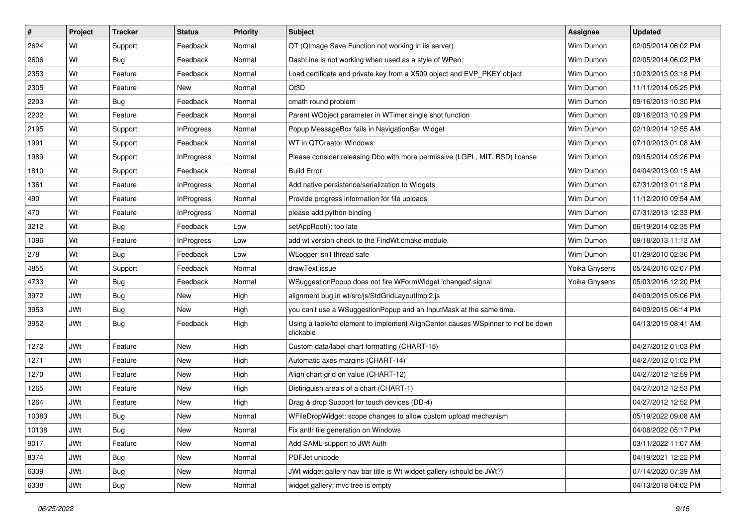| $\sharp$ | Project    | <b>Tracker</b> | <b>Status</b>     | <b>Priority</b> | Subject                                                                                       | <b>Assignee</b> | <b>Updated</b>      |
|----------|------------|----------------|-------------------|-----------------|-----------------------------------------------------------------------------------------------|-----------------|---------------------|
| 2624     | Wt         | Support        | Feedback          | Normal          | QT (QImage Save Function not working in iis server)                                           | Wim Dumon       | 02/05/2014 06:02 PM |
| 2606     | Wt         | <b>Bug</b>     | Feedback          | Normal          | DashLine is not working when used as a style of WPen:                                         | Wim Dumon       | 02/05/2014 06:02 PM |
| 2353     | Wt         | Feature        | Feedback          | Normal          | Load certificate and private key from a X509 object and EVP_PKEY object                       | Wim Dumon       | 10/23/2013 03:18 PM |
| 2305     | Wt         | Feature        | New               | Normal          | Qt3D                                                                                          | Wim Dumon       | 11/11/2014 05:25 PM |
| 2203     | Wt         | <b>Bug</b>     | Feedback          | Normal          | cmath round problem                                                                           | Wim Dumon       | 09/16/2013 10:30 PM |
| 2202     | Wt         | Feature        | Feedback          | Normal          | Parent WObject parameter in WTimer single shot function                                       | Wim Dumon       | 09/16/2013 10:29 PM |
| 2195     | Wt         | Support        | <b>InProgress</b> | Normal          | Popup MessageBox fails in NavigationBar Widget                                                | Wim Dumon       | 02/19/2014 12:55 AM |
| 1991     | Wt         | Support        | Feedback          | Normal          | WT in QTCreator Windows                                                                       | Wim Dumon       | 07/10/2013 01:08 AM |
| 1989     | Wt         | Support        | <b>InProgress</b> | Normal          | Please consider releasing Dbo with more permissive (LGPL, MIT, BSD) license                   | Wim Dumon       | 09/15/2014 03:26 PM |
| 1810     | Wt         | Support        | Feedback          | Normal          | <b>Build Error</b>                                                                            | Wim Dumon       | 04/04/2013 09:15 AM |
| 1361     | Wt         | Feature        | <b>InProgress</b> | Normal          | Add native persistence/serialization to Widgets                                               | Wim Dumon       | 07/31/2013 01:18 PM |
| 490      | Wt         | Feature        | <b>InProgress</b> | Normal          | Provide progress information for file uploads                                                 | Wim Dumon       | 11/12/2010 09:54 AM |
| 470      | Wt         | Feature        | <b>InProgress</b> | Normal          | please add python binding                                                                     | Wim Dumon       | 07/31/2013 12:33 PM |
| 3212     | Wt         | Bug            | Feedback          | Low             | setAppRoot(): too late                                                                        | Wim Dumon       | 06/19/2014 02:35 PM |
| 1096     | Wt         | Feature        | <b>InProgress</b> | Low             | add wt version check to the FindWt.cmake module.                                              | Wim Dumon       | 09/18/2013 11:13 AM |
| 278      | Wt         | <b>Bug</b>     | Feedback          | Low             | WLogger isn't thread safe                                                                     | Wim Dumon       | 01/29/2010 02:36 PM |
| 4855     | Wt         | Support        | Feedback          | Normal          | drawText issue                                                                                | Yoika Ghysens   | 05/24/2016 02:07 PM |
| 4733     | Wt         | <b>Bug</b>     | Feedback          | Normal          | WSuggestionPopup does not fire WFormWidget 'changed' signal                                   | Yoika Ghysens   | 05/03/2016 12:20 PM |
| 3972     | <b>JWt</b> | Bug            | New               | High            | alignment bug in wt/src/js/StdGridLayoutImpl2.js                                              |                 | 04/09/2015 05:06 PM |
| 3953     | <b>JWt</b> | <b>Bug</b>     | New               | High            | you can't use a WSuggestionPopup and an InputMask at the same time.                           |                 | 04/09/2015 06:14 PM |
| 3952     | <b>JWt</b> | <b>Bug</b>     | Feedback          | High            | Using a table/td element to implement AlignCenter causes WSpinner to not be down<br>clickable |                 | 04/13/2015 08:41 AM |
| 1272     | <b>JWt</b> | Feature        | <b>New</b>        | High            | Custom data/label chart formatting (CHART-15)                                                 |                 | 04/27/2012 01:03 PM |
| 1271     | <b>JWt</b> | Feature        | New               | High            | Automatic axes margins (CHART-14)                                                             |                 | 04/27/2012 01:02 PM |
| 1270     | JWt        | Feature        | New               | High            | Align chart grid on value (CHART-12)                                                          |                 | 04/27/2012 12:59 PM |
| 1265     | <b>JWt</b> | Feature        | <b>New</b>        | High            | Distinguish area's of a chart (CHART-1)                                                       |                 | 04/27/2012 12:53 PM |
| 1264     | <b>JWt</b> | Feature        | New               | High            | Drag & drop Support for touch devices (DD-4)                                                  |                 | 04/27/2012 12:52 PM |
| 10383    | <b>JWt</b> | <b>Bug</b>     | New               | Normal          | WFileDropWidget: scope changes to allow custom upload mechanism                               |                 | 05/19/2022 09:08 AM |
| 10138    | <b>JWt</b> | <b>Bug</b>     | New               | Normal          | Fix antlr file generation on Windows                                                          |                 | 04/08/2022 05:17 PM |
| 9017     | JWt        | Feature        | New               | Normal          | Add SAML support to JWt Auth                                                                  |                 | 03/11/2022 11:07 AM |
| 8374     | <b>JWt</b> | <b>Bug</b>     | New               | Normal          | PDFJet unicode                                                                                |                 | 04/19/2021 12:22 PM |
| 6339     | JWt        | <b>Bug</b>     | New               | Normal          | JWt widget gallery nav bar title is Wt widget gallery (should be JWt?)                        |                 | 07/14/2020 07:39 AM |
| 6338     | <b>JWt</b> | <b>Bug</b>     | New               | Normal          | widget gallery: mvc tree is empty                                                             |                 | 04/13/2018 04:02 PM |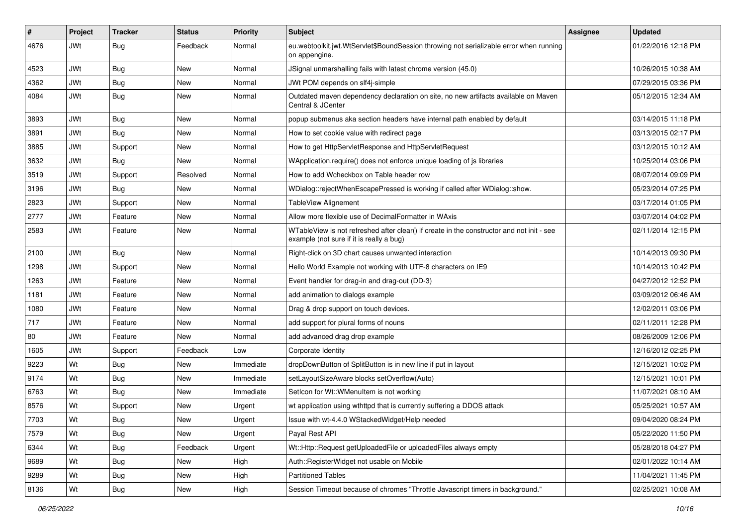| $\#$ | Project    | <b>Tracker</b> | <b>Status</b> | <b>Priority</b> | Subject                                                                                                                               | <b>Assignee</b> | <b>Updated</b>      |
|------|------------|----------------|---------------|-----------------|---------------------------------------------------------------------------------------------------------------------------------------|-----------------|---------------------|
| 4676 | <b>JWt</b> | <b>Bug</b>     | Feedback      | Normal          | eu.webtoolkit.jwt.WtServlet\$BoundSession throwing not serializable error when running<br>on appengine.                               |                 | 01/22/2016 12:18 PM |
| 4523 | <b>JWt</b> | Bug            | <b>New</b>    | Normal          | JSignal unmarshalling fails with latest chrome version (45.0)                                                                         |                 | 10/26/2015 10:38 AM |
| 4362 | <b>JWt</b> | Bug            | <b>New</b>    | Normal          | JWt POM depends on slf4j-simple                                                                                                       |                 | 07/29/2015 03:36 PM |
| 4084 | <b>JWt</b> | Bug            | <b>New</b>    | Normal          | Outdated maven dependency declaration on site, no new artifacts available on Maven<br>Central & JCenter                               |                 | 05/12/2015 12:34 AM |
| 3893 | JWt        | Bug            | <b>New</b>    | Normal          | popup submenus aka section headers have internal path enabled by default                                                              |                 | 03/14/2015 11:18 PM |
| 3891 | JWt        | Bug            | <b>New</b>    | Normal          | How to set cookie value with redirect page                                                                                            |                 | 03/13/2015 02:17 PM |
| 3885 | <b>JWt</b> | Support        | <b>New</b>    | Normal          | How to get HttpServletResponse and HttpServletRequest                                                                                 |                 | 03/12/2015 10:12 AM |
| 3632 | <b>JWt</b> | Bug            | <b>New</b>    | Normal          | WApplication.require() does not enforce unique loading of js libraries                                                                |                 | 10/25/2014 03:06 PM |
| 3519 | <b>JWt</b> | Support        | Resolved      | Normal          | How to add Wcheckbox on Table header row                                                                                              |                 | 08/07/2014 09:09 PM |
| 3196 | <b>JWt</b> | Bug            | <b>New</b>    | Normal          | WDialog::rejectWhenEscapePressed is working if called after WDialog::show.                                                            |                 | 05/23/2014 07:25 PM |
| 2823 | JWt        | Support        | <b>New</b>    | Normal          | TableView Alignement                                                                                                                  |                 | 03/17/2014 01:05 PM |
| 2777 | JWt        | Feature        | <b>New</b>    | Normal          | Allow more flexible use of DecimalFormatter in WAxis                                                                                  |                 | 03/07/2014 04:02 PM |
| 2583 | <b>JWt</b> | Feature        | <b>New</b>    | Normal          | WTableView is not refreshed after clear() if create in the constructor and not init - see<br>example (not sure if it is really a bug) |                 | 02/11/2014 12:15 PM |
| 2100 | <b>JWt</b> | Bug            | <b>New</b>    | Normal          | Right-click on 3D chart causes unwanted interaction                                                                                   |                 | 10/14/2013 09:30 PM |
| 1298 | <b>JWt</b> | Support        | <b>New</b>    | Normal          | Hello World Example not working with UTF-8 characters on IE9                                                                          |                 | 10/14/2013 10:42 PM |
| 1263 | <b>JWt</b> | Feature        | <b>New</b>    | Normal          | Event handler for drag-in and drag-out (DD-3)                                                                                         |                 | 04/27/2012 12:52 PM |
| 1181 | <b>JWt</b> | Feature        | <b>New</b>    | Normal          | add animation to dialogs example                                                                                                      |                 | 03/09/2012 06:46 AM |
| 1080 | JWt        | Feature        | <b>New</b>    | Normal          | Drag & drop support on touch devices.                                                                                                 |                 | 12/02/2011 03:06 PM |
| 717  | <b>JWt</b> | Feature        | <b>New</b>    | Normal          | add support for plural forms of nouns                                                                                                 |                 | 02/11/2011 12:28 PM |
| 80   | JWt        | Feature        | <b>New</b>    | Normal          | add advanced drag drop example                                                                                                        |                 | 08/26/2009 12:06 PM |
| 1605 | <b>JWt</b> | Support        | Feedback      | Low             | Corporate Identity                                                                                                                    |                 | 12/16/2012 02:25 PM |
| 9223 | Wt         | Bug            | <b>New</b>    | Immediate       | dropDownButton of SplitButton is in new line if put in layout                                                                         |                 | 12/15/2021 10:02 PM |
| 9174 | Wt         | Bug            | <b>New</b>    | Immediate       | setLayoutSizeAware blocks setOverflow(Auto)                                                                                           |                 | 12/15/2021 10:01 PM |
| 6763 | Wt         | Bug            | <b>New</b>    | Immediate       | SetIcon for Wt:: WMenuItem is not working                                                                                             |                 | 11/07/2021 08:10 AM |
| 8576 | Wt         | Support        | <b>New</b>    | Urgent          | wt application using wthttpd that is currently suffering a DDOS attack                                                                |                 | 05/25/2021 10:57 AM |
| 7703 | Wt         | Bug            | New           | Urgent          | Issue with wt-4.4.0 WStackedWidget/Help needed                                                                                        |                 | 09/04/2020 08:24 PM |
| 7579 | Wt         | Bug            | New           | Urgent          | Payal Rest API                                                                                                                        |                 | 05/22/2020 11:50 PM |
| 6344 | Wt         | Bug            | Feedback      | Urgent          | Wt::Http::Request getUploadedFile or uploadedFiles always empty                                                                       |                 | 05/28/2018 04:27 PM |
| 9689 | Wt         | <b>Bug</b>     | New           | High            | Auth::RegisterWidget not usable on Mobile                                                                                             |                 | 02/01/2022 10:14 AM |
| 9289 | Wt         | Bug            | New           | High            | <b>Partitioned Tables</b>                                                                                                             |                 | 11/04/2021 11:45 PM |
| 8136 | Wt         | Bug            | New           | High            | Session Timeout because of chromes "Throttle Javascript timers in background."                                                        |                 | 02/25/2021 10:08 AM |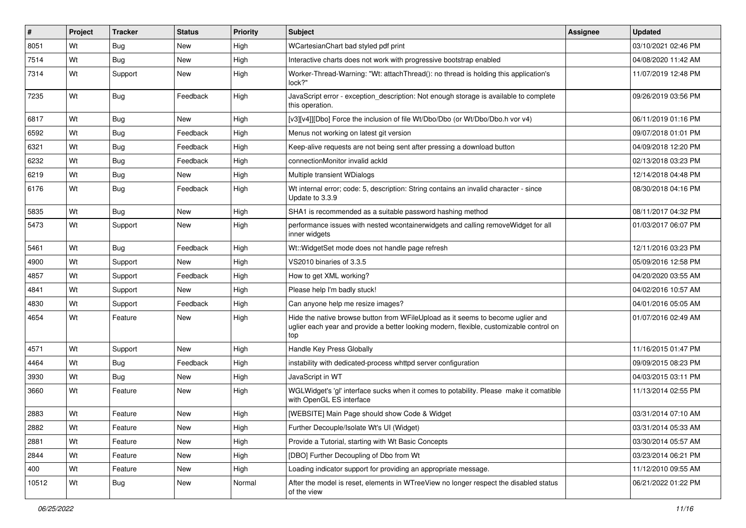| $\vert$ # | Project | <b>Tracker</b> | <b>Status</b> | <b>Priority</b> | Subject                                                                                                                                                                           | <b>Assignee</b> | <b>Updated</b>      |
|-----------|---------|----------------|---------------|-----------------|-----------------------------------------------------------------------------------------------------------------------------------------------------------------------------------|-----------------|---------------------|
| 8051      | Wt      | Bug            | <b>New</b>    | High            | WCartesianChart bad styled pdf print                                                                                                                                              |                 | 03/10/2021 02:46 PM |
| 7514      | Wt      | <b>Bug</b>     | <b>New</b>    | High            | Interactive charts does not work with progressive bootstrap enabled                                                                                                               |                 | 04/08/2020 11:42 AM |
| 7314      | Wt      | Support        | <b>New</b>    | High            | Worker-Thread-Warning: "Wt: attachThread(): no thread is holding this application's<br>lock?"                                                                                     |                 | 11/07/2019 12:48 PM |
| 7235      | Wt      | Bug            | Feedback      | High            | JavaScript error - exception_description: Not enough storage is available to complete<br>this operation.                                                                          |                 | 09/26/2019 03:56 PM |
| 6817      | Wt      | Bug            | <b>New</b>    | High            | [v3][v4]][Dbo] Force the inclusion of file Wt/Dbo/Dbo (or Wt/Dbo/Dbo.h vor v4)                                                                                                    |                 | 06/11/2019 01:16 PM |
| 6592      | Wt      | Bug            | Feedback      | High            | Menus not working on latest git version                                                                                                                                           |                 | 09/07/2018 01:01 PM |
| 6321      | Wt      | Bug            | Feedback      | High            | Keep-alive requests are not being sent after pressing a download button                                                                                                           |                 | 04/09/2018 12:20 PM |
| 6232      | Wt      | <b>Bug</b>     | Feedback      | High            | connectionMonitor invalid ackId                                                                                                                                                   |                 | 02/13/2018 03:23 PM |
| 6219      | Wt      | <b>Bug</b>     | New           | High            | Multiple transient WDialogs                                                                                                                                                       |                 | 12/14/2018 04:48 PM |
| 6176      | Wt      | <b>Bug</b>     | Feedback      | High            | Wt internal error; code: 5, description: String contains an invalid character - since<br>Update to 3.3.9                                                                          |                 | 08/30/2018 04:16 PM |
| 5835      | Wt      | Bug            | <b>New</b>    | High            | SHA1 is recommended as a suitable password hashing method                                                                                                                         |                 | 08/11/2017 04:32 PM |
| 5473      | Wt      | Support        | New           | High            | performance issues with nested wcontainerwidgets and calling removeWidget for all<br>inner widgets                                                                                |                 | 01/03/2017 06:07 PM |
| 5461      | Wt      | Bug            | Feedback      | High            | Wt:: Widget Set mode does not handle page refresh                                                                                                                                 |                 | 12/11/2016 03:23 PM |
| 4900      | Wt      | Support        | <b>New</b>    | High            | VS2010 binaries of 3.3.5                                                                                                                                                          |                 | 05/09/2016 12:58 PM |
| 4857      | Wt      | Support        | Feedback      | High            | How to get XML working?                                                                                                                                                           |                 | 04/20/2020 03:55 AM |
| 4841      | Wt      | Support        | <b>New</b>    | High            | Please help I'm badly stuck!                                                                                                                                                      |                 | 04/02/2016 10:57 AM |
| 4830      | Wt      | Support        | Feedback      | High            | Can anyone help me resize images?                                                                                                                                                 |                 | 04/01/2016 05:05 AM |
| 4654      | Wt      | Feature        | <b>New</b>    | High            | Hide the native browse button from WFileUpload as it seems to become uglier and<br>uglier each year and provide a better looking modern, flexible, customizable control on<br>top |                 | 01/07/2016 02:49 AM |
| 4571      | Wt      | Support        | <b>New</b>    | High            | Handle Key Press Globally                                                                                                                                                         |                 | 11/16/2015 01:47 PM |
| 4464      | Wt      | Bug            | Feedback      | High            | instability with dedicated-process whttpd server configuration                                                                                                                    |                 | 09/09/2015 08:23 PM |
| 3930      | Wt      | Bug            | New           | High            | JavaScript in WT                                                                                                                                                                  |                 | 04/03/2015 03:11 PM |
| 3660      | Wt      | Feature        | New           | High            | WGLWidget's 'gl' interface sucks when it comes to potability. Please make it comatible<br>with OpenGL ES interface                                                                |                 | 11/13/2014 02:55 PM |
| 2883      | Wt      | Feature        | <b>New</b>    | High            | [WEBSITE] Main Page should show Code & Widget                                                                                                                                     |                 | 03/31/2014 07:10 AM |
| 2882      | Wt      | Feature        | New           | High            | Further Decouple/Isolate Wt's UI (Widget)                                                                                                                                         |                 | 03/31/2014 05:33 AM |
| 2881      | Wt      | Feature        | New           | High            | Provide a Tutorial, starting with Wt Basic Concepts                                                                                                                               |                 | 03/30/2014 05:57 AM |
| 2844      | Wt      | Feature        | New           | High            | [DBO] Further Decoupling of Dbo from Wt                                                                                                                                           |                 | 03/23/2014 06:21 PM |
| 400       | Wt      | Feature        | New           | High            | Loading indicator support for providing an appropriate message.                                                                                                                   |                 | 11/12/2010 09:55 AM |
| 10512     | Wt      | <b>Bug</b>     | New           | Normal          | After the model is reset, elements in WTreeView no longer respect the disabled status<br>of the view                                                                              |                 | 06/21/2022 01:22 PM |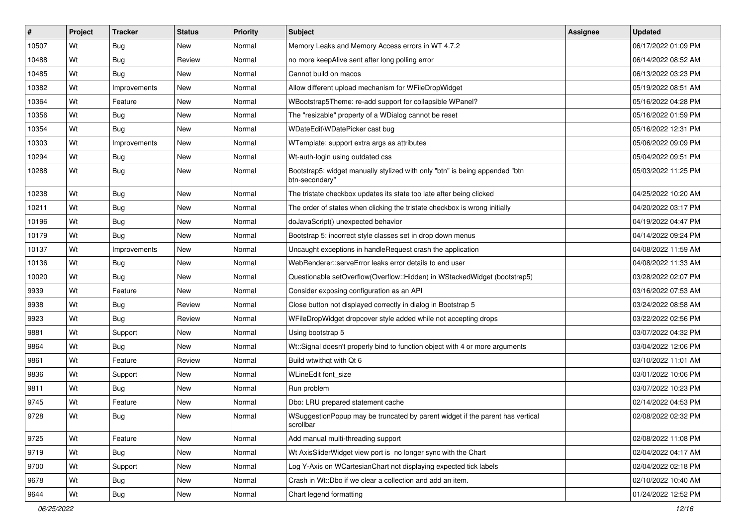| $\vert$ # | Project | <b>Tracker</b> | <b>Status</b> | <b>Priority</b> | <b>Subject</b>                                                                                | <b>Assignee</b> | <b>Updated</b>      |
|-----------|---------|----------------|---------------|-----------------|-----------------------------------------------------------------------------------------------|-----------------|---------------------|
| 10507     | Wt      | <b>Bug</b>     | New           | Normal          | Memory Leaks and Memory Access errors in WT 4.7.2                                             |                 | 06/17/2022 01:09 PM |
| 10488     | Wt      | <b>Bug</b>     | Review        | Normal          | no more keepAlive sent after long polling error                                               |                 | 06/14/2022 08:52 AM |
| 10485     | Wt      | <b>Bug</b>     | New           | Normal          | Cannot build on macos                                                                         |                 | 06/13/2022 03:23 PM |
| 10382     | Wt      | Improvements   | New           | Normal          | Allow different upload mechanism for WFileDropWidget                                          |                 | 05/19/2022 08:51 AM |
| 10364     | Wt      | Feature        | <b>New</b>    | Normal          | WBootstrap5Theme: re-add support for collapsible WPanel?                                      |                 | 05/16/2022 04:28 PM |
| 10356     | Wt      | <b>Bug</b>     | <b>New</b>    | Normal          | The "resizable" property of a WDialog cannot be reset                                         |                 | 05/16/2022 01:59 PM |
| 10354     | Wt      | Bug            | New           | Normal          | WDateEdit\WDatePicker cast bug                                                                |                 | 05/16/2022 12:31 PM |
| 10303     | Wt      | Improvements   | <b>New</b>    | Normal          | WTemplate: support extra args as attributes                                                   |                 | 05/06/2022 09:09 PM |
| 10294     | Wt      | Bug            | New           | Normal          | Wt-auth-login using outdated css                                                              |                 | 05/04/2022 09:51 PM |
| 10288     | Wt      | <b>Bug</b>     | <b>New</b>    | Normal          | Bootstrap5: widget manually stylized with only "btn" is being appended "btn<br>btn-secondary" |                 | 05/03/2022 11:25 PM |
| 10238     | Wt      | <b>Bug</b>     | <b>New</b>    | Normal          | The tristate checkbox updates its state too late after being clicked                          |                 | 04/25/2022 10:20 AM |
| 10211     | Wt      | Bug            | <b>New</b>    | Normal          | The order of states when clicking the tristate checkbox is wrong initially                    |                 | 04/20/2022 03:17 PM |
| 10196     | Wt      | <b>Bug</b>     | New           | Normal          | doJavaScript() unexpected behavior                                                            |                 | 04/19/2022 04:47 PM |
| 10179     | Wt      | Bug            | <b>New</b>    | Normal          | Bootstrap 5: incorrect style classes set in drop down menus                                   |                 | 04/14/2022 09:24 PM |
| 10137     | Wt      | Improvements   | New           | Normal          | Uncaught exceptions in handleRequest crash the application                                    |                 | 04/08/2022 11:59 AM |
| 10136     | Wt      | Bug            | <b>New</b>    | Normal          | WebRenderer::serveError leaks error details to end user                                       |                 | 04/08/2022 11:33 AM |
| 10020     | Wt      | Bug            | <b>New</b>    | Normal          | Questionable setOverflow(Overflow::Hidden) in WStackedWidget (bootstrap5)                     |                 | 03/28/2022 02:07 PM |
| 9939      | Wt      | Feature        | New           | Normal          | Consider exposing configuration as an API                                                     |                 | 03/16/2022 07:53 AM |
| 9938      | Wt      | Bug            | Review        | Normal          | Close button not displayed correctly in dialog in Bootstrap 5                                 |                 | 03/24/2022 08:58 AM |
| 9923      | Wt      | Bug            | Review        | Normal          | WFileDropWidget dropcover style added while not accepting drops                               |                 | 03/22/2022 02:56 PM |
| 9881      | Wt      | Support        | <b>New</b>    | Normal          | Using bootstrap 5                                                                             |                 | 03/07/2022 04:32 PM |
| 9864      | Wt      | Bug            | <b>New</b>    | Normal          | Wt::Signal doesn't properly bind to function object with 4 or more arguments                  |                 | 03/04/2022 12:06 PM |
| 9861      | Wt      | Feature        | Review        | Normal          | Build wtwithgt with Qt 6                                                                      |                 | 03/10/2022 11:01 AM |
| 9836      | Wt      | Support        | <b>New</b>    | Normal          | WLineEdit font size                                                                           |                 | 03/01/2022 10:06 PM |
| 9811      | Wt      | Bug            | <b>New</b>    | Normal          | Run problem                                                                                   |                 | 03/07/2022 10:23 PM |
| 9745      | Wt      | Feature        | New           | Normal          | Dbo: LRU prepared statement cache                                                             |                 | 02/14/2022 04:53 PM |
| 9728      | Wt      | <b>Bug</b>     | New           | Normal          | WSuggestionPopup may be truncated by parent widget if the parent has vertical<br>scrollbar    |                 | 02/08/2022 02:32 PM |
| 9725      | Wt      | Feature        | New           | Normal          | Add manual multi-threading support                                                            |                 | 02/08/2022 11:08 PM |
| 9719      | Wt      | <b>Bug</b>     | New           | Normal          | Wt AxisSliderWidget view port is no longer sync with the Chart                                |                 | 02/04/2022 04:17 AM |
| 9700      | Wt      | Support        | New           | Normal          | Log Y-Axis on WCartesianChart not displaying expected tick labels                             |                 | 02/04/2022 02:18 PM |
| 9678      | Wt      | Bug            | New           | Normal          | Crash in Wt::Dbo if we clear a collection and add an item.                                    |                 | 02/10/2022 10:40 AM |
| 9644      | Wt      | Bug            | New           | Normal          | Chart legend formatting                                                                       |                 | 01/24/2022 12:52 PM |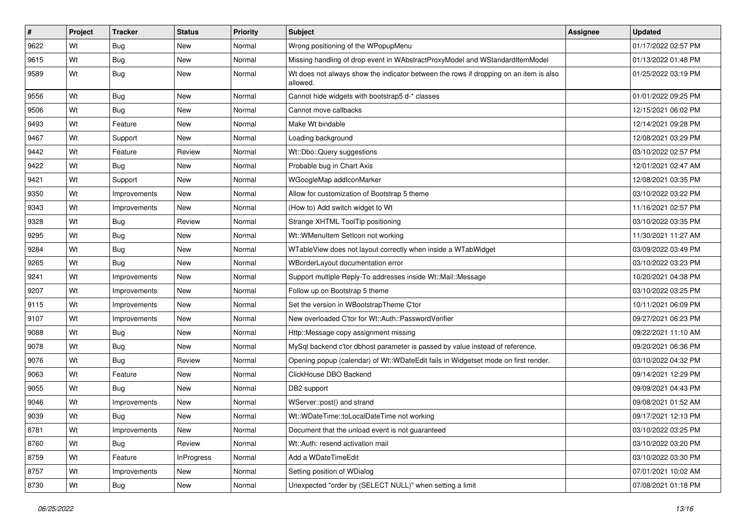| $\vert$ # | Project | <b>Tracker</b> | <b>Status</b>     | <b>Priority</b> | Subject                                                                                           | <b>Assignee</b> | <b>Updated</b>      |
|-----------|---------|----------------|-------------------|-----------------|---------------------------------------------------------------------------------------------------|-----------------|---------------------|
| 9622      | Wt      | Bug            | New               | Normal          | Wrong positioning of the WPopupMenu                                                               |                 | 01/17/2022 02:57 PM |
| 9615      | Wt      | <b>Bug</b>     | <b>New</b>        | Normal          | Missing handling of drop event in WAbstractProxyModel and WStandardItemModel                      |                 | 01/13/2022 01:48 PM |
| 9589      | Wt      | Bug            | New               | Normal          | Wt does not always show the indicator between the rows if dropping on an item is also<br>allowed. |                 | 01/25/2022 03:19 PM |
| 9556      | Wt      | Bug            | <b>New</b>        | Normal          | Cannot hide widgets with bootstrap5 d-* classes                                                   |                 | 01/01/2022 09:25 PM |
| 9506      | Wt      | Bug            | New               | Normal          | Cannot move callbacks                                                                             |                 | 12/15/2021 06:02 PM |
| 9493      | Wt      | Feature        | New               | Normal          | Make Wt bindable                                                                                  |                 | 12/14/2021 09:28 PM |
| 9467      | Wt      | Support        | New               | Normal          | Loading background                                                                                |                 | 12/08/2021 03:29 PM |
| 9442      | Wt      | Feature        | Review            | Normal          | Wt::Dbo::Query suggestions                                                                        |                 | 03/10/2022 02:57 PM |
| 9422      | Wt      | Bug            | <b>New</b>        | Normal          | Probable bug in Chart Axis                                                                        |                 | 12/01/2021 02:47 AM |
| 9421      | Wt      | Support        | New               | Normal          | WGoogleMap addIconMarker                                                                          |                 | 12/08/2021 03:35 PM |
| 9350      | Wt      | Improvements   | New               | Normal          | Allow for customization of Bootstrap 5 theme                                                      |                 | 03/10/2022 03:22 PM |
| 9343      | Wt      | Improvements   | <b>New</b>        | Normal          | (How to) Add switch widget to Wt                                                                  |                 | 11/16/2021 02:57 PM |
| 9328      | Wt      | <b>Bug</b>     | Review            | Normal          | Strange XHTML ToolTip positioning                                                                 |                 | 03/10/2022 03:35 PM |
| 9295      | Wt      | Bug            | <b>New</b>        | Normal          | Wt::WMenuItem SetIcon not working                                                                 |                 | 11/30/2021 11:27 AM |
| 9284      | Wt      | Bug            | New               | Normal          | WTableView does not layout correctly when inside a WTabWidget                                     |                 | 03/09/2022 03:49 PM |
| 9265      | Wt      | Bug            | New               | Normal          | WBorderLayout documentation error                                                                 |                 | 03/10/2022 03:23 PM |
| 9241      | Wt      | Improvements   | <b>New</b>        | Normal          | Support multiple Reply-To addresses inside Wt::Mail::Message                                      |                 | 10/20/2021 04:38 PM |
| 9207      | Wt      | Improvements   | New               | Normal          | Follow up on Bootstrap 5 theme                                                                    |                 | 03/10/2022 03:25 PM |
| 9115      | Wt      | Improvements   | New               | Normal          | Set the version in WBootstrapTheme C'tor                                                          |                 | 10/11/2021 06:09 PM |
| 9107      | Wt      | Improvements   | New               | Normal          | New overloaded C'tor for Wt::Auth::PasswordVerifier                                               |                 | 09/27/2021 06:23 PM |
| 9088      | Wt      | Bug            | New               | Normal          | Http::Message copy assignment missing                                                             |                 | 09/22/2021 11:10 AM |
| 9078      | Wt      | Bug            | <b>New</b>        | Normal          | MySql backend c'tor dbhost parameter is passed by value instead of reference.                     |                 | 09/20/2021 06:36 PM |
| 9076      | Wt      | <b>Bug</b>     | Review            | Normal          | Opening popup (calendar) of Wt::WDateEdit fails in Widgetset mode on first render.                |                 | 03/10/2022 04:32 PM |
| 9063      | Wt      | Feature        | New               | Normal          | ClickHouse DBO Backend                                                                            |                 | 09/14/2021 12:29 PM |
| 9055      | Wt      | Bug            | New               | Normal          | DB2 support                                                                                       |                 | 09/09/2021 04:43 PM |
| 9046      | Wt      | Improvements   | New               | Normal          | WServer::post() and strand                                                                        |                 | 09/08/2021 01:52 AM |
| 9039      | Wt      | Bug            | New               | Normal          | Wt::WDateTime::toLocalDateTime not working                                                        |                 | 09/17/2021 12:13 PM |
| 8781      | Wt      | Improvements   | New               | Normal          | Document that the unload event is not guaranteed                                                  |                 | 03/10/2022 03:25 PM |
| 8760      | Wt      | Bug            | Review            | Normal          | Wt::Auth: resend activation mail                                                                  |                 | 03/10/2022 03:20 PM |
| 8759      | Wt      | Feature        | <b>InProgress</b> | Normal          | Add a WDateTimeEdit                                                                               |                 | 03/10/2022 03:30 PM |
| 8757      | Wt      | Improvements   | New               | Normal          | Setting position of WDialog                                                                       |                 | 07/01/2021 10:02 AM |
| 8730      | Wt      | Bug            | New               | Normal          | Unexpected "order by (SELECT NULL)" when setting a limit                                          |                 | 07/08/2021 01:18 PM |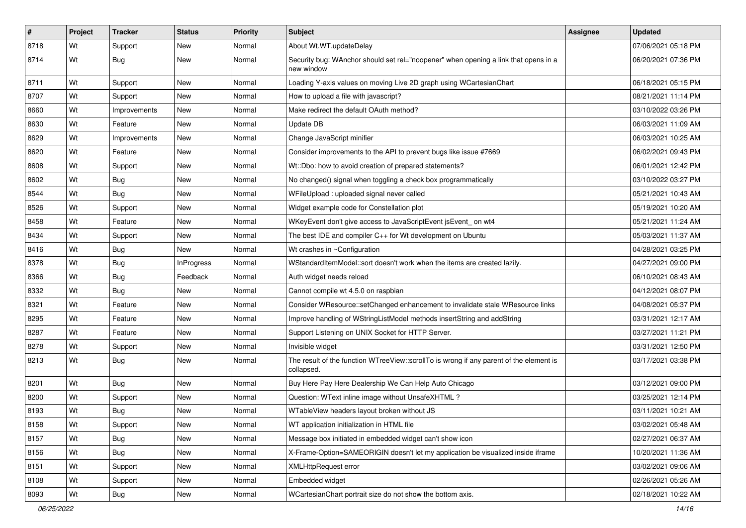| $\vert$ # | Project | <b>Tracker</b> | <b>Status</b>     | <b>Priority</b> | <b>Subject</b>                                                                                        | Assignee | <b>Updated</b>      |
|-----------|---------|----------------|-------------------|-----------------|-------------------------------------------------------------------------------------------------------|----------|---------------------|
| 8718      | Wt      | Support        | <b>New</b>        | Normal          | About Wt.WT.updateDelay                                                                               |          | 07/06/2021 05:18 PM |
| 8714      | Wt      | <b>Bug</b>     | <b>New</b>        | Normal          | Security bug: WAnchor should set rel="noopener" when opening a link that opens in a<br>new window     |          | 06/20/2021 07:36 PM |
| 8711      | Wt      | Support        | <b>New</b>        | Normal          | Loading Y-axis values on moving Live 2D graph using WCartesianChart                                   |          | 06/18/2021 05:15 PM |
| 8707      | Wt      | Support        | <b>New</b>        | Normal          | How to upload a file with javascript?                                                                 |          | 08/21/2021 11:14 PM |
| 8660      | Wt      | Improvements   | New               | Normal          | Make redirect the default OAuth method?                                                               |          | 03/10/2022 03:26 PM |
| 8630      | Wt      | Feature        | <b>New</b>        | Normal          | Update DB                                                                                             |          | 06/03/2021 11:09 AM |
| 8629      | Wt      | Improvements   | New               | Normal          | Change JavaScript minifier                                                                            |          | 06/03/2021 10:25 AM |
| 8620      | Wt      | Feature        | <b>New</b>        | Normal          | Consider improvements to the API to prevent bugs like issue #7669                                     |          | 06/02/2021 09:43 PM |
| 8608      | Wt      | Support        | <b>New</b>        | Normal          | Wt::Dbo: how to avoid creation of prepared statements?                                                |          | 06/01/2021 12:42 PM |
| 8602      | Wt      | <b>Bug</b>     | New               | Normal          | No changed() signal when toggling a check box programmatically                                        |          | 03/10/2022 03:27 PM |
| 8544      | Wt      | <b>Bug</b>     | <b>New</b>        | Normal          | WFileUpload: uploaded signal never called                                                             |          | 05/21/2021 10:43 AM |
| 8526      | Wt      | Support        | <b>New</b>        | Normal          | Widget example code for Constellation plot                                                            |          | 05/19/2021 10:20 AM |
| 8458      | Wt      | Feature        | <b>New</b>        | Normal          | WKeyEvent don't give access to JavaScriptEvent isEvent on wt4                                         |          | 05/21/2021 11:24 AM |
| 8434      | Wt      | Support        | <b>New</b>        | Normal          | The best IDE and compiler C++ for Wt development on Ubuntu                                            |          | 05/03/2021 11:37 AM |
| 8416      | Wt      | Bug            | New               | Normal          | Wt crashes in ~Configuration                                                                          |          | 04/28/2021 03:25 PM |
| 8378      | Wt      | Bug            | <b>InProgress</b> | Normal          | WStandardItemModel::sort doesn't work when the items are created lazily.                              |          | 04/27/2021 09:00 PM |
| 8366      | Wt      | Bug            | Feedback          | Normal          | Auth widget needs reload                                                                              |          | 06/10/2021 08:43 AM |
| 8332      | Wt      | Bug            | New               | Normal          | Cannot compile wt 4.5.0 on raspbian                                                                   |          | 04/12/2021 08:07 PM |
| 8321      | Wt      | Feature        | <b>New</b>        | Normal          | Consider WResource::setChanged enhancement to invalidate stale WResource links                        |          | 04/08/2021 05:37 PM |
| 8295      | Wt      | Feature        | <b>New</b>        | Normal          | Improve handling of WStringListModel methods insertString and addString                               |          | 03/31/2021 12:17 AM |
| 8287      | Wt      | Feature        | <b>New</b>        | Normal          | Support Listening on UNIX Socket for HTTP Server.                                                     |          | 03/27/2021 11:21 PM |
| 8278      | Wt      | Support        | <b>New</b>        | Normal          | Invisible widget                                                                                      |          | 03/31/2021 12:50 PM |
| 8213      | Wt      | <b>Bug</b>     | New               | Normal          | The result of the function WTreeView::scrollTo is wrong if any parent of the element is<br>collapsed. |          | 03/17/2021 03:38 PM |
| 8201      | Wt      | <b>Bug</b>     | <b>New</b>        | Normal          | Buy Here Pay Here Dealership We Can Help Auto Chicago                                                 |          | 03/12/2021 09:00 PM |
| 8200      | Wt      | Support        | <b>New</b>        | Normal          | Question: WText inline image without UnsafeXHTML?                                                     |          | 03/25/2021 12:14 PM |
| 8193      | Wt      | <b>Bug</b>     | <b>New</b>        | Normal          | WTableView headers layout broken without JS                                                           |          | 03/11/2021 10:21 AM |
| 8158      | Wt      | Support        | New               | Normal          | WT application initialization in HTML file                                                            |          | 03/02/2021 05:48 AM |
| 8157      | Wt      | Bug            | New               | Normal          | Message box initiated in embedded widget can't show icon                                              |          | 02/27/2021 06:37 AM |
| 8156      | Wt      | <b>Bug</b>     | New               | Normal          | X-Frame-Option=SAMEORIGIN doesn't let my application be visualized inside iframe                      |          | 10/20/2021 11:36 AM |
| 8151      | Wt      | Support        | New               | Normal          | <b>XMLHttpRequest error</b>                                                                           |          | 03/02/2021 09:06 AM |
| 8108      | Wt      | Support        | New               | Normal          | Embedded widget                                                                                       |          | 02/26/2021 05:26 AM |
| 8093      | Wt      | <b>Bug</b>     | New               | Normal          | WCartesianChart portrait size do not show the bottom axis.                                            |          | 02/18/2021 10:22 AM |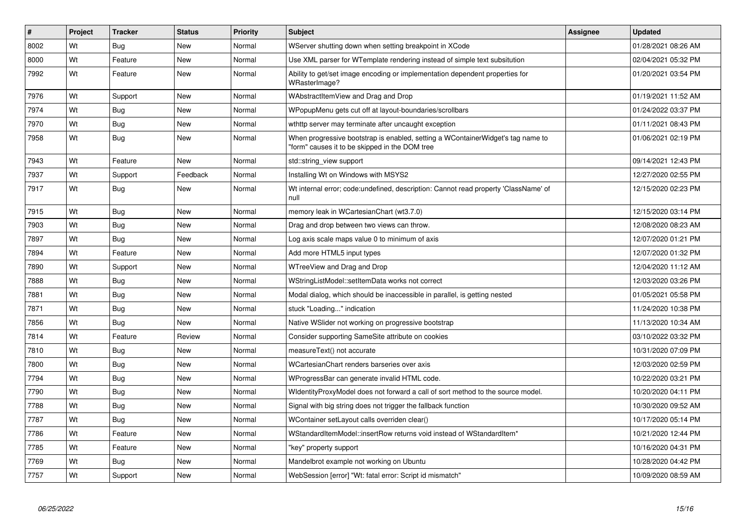| #    | Project | <b>Tracker</b> | <b>Status</b> | Priority | <b>Subject</b>                                                                                                                    | <b>Assignee</b> | <b>Updated</b>      |
|------|---------|----------------|---------------|----------|-----------------------------------------------------------------------------------------------------------------------------------|-----------------|---------------------|
| 8002 | Wt      | <b>Bug</b>     | <b>New</b>    | Normal   | WServer shutting down when setting breakpoint in XCode                                                                            |                 | 01/28/2021 08:26 AM |
| 8000 | Wt      | Feature        | <b>New</b>    | Normal   | Use XML parser for WTemplate rendering instead of simple text subsitution                                                         |                 | 02/04/2021 05:32 PM |
| 7992 | Wt      | Feature        | <b>New</b>    | Normal   | Ability to get/set image encoding or implementation dependent properties for<br>WRasterImage?                                     |                 | 01/20/2021 03:54 PM |
| 7976 | Wt      | Support        | <b>New</b>    | Normal   | WAbstractItemView and Drag and Drop                                                                                               |                 | 01/19/2021 11:52 AM |
| 7974 | Wt      | <b>Bug</b>     | <b>New</b>    | Normal   | WPopupMenu gets cut off at layout-boundaries/scrollbars                                                                           |                 | 01/24/2022 03:37 PM |
| 7970 | Wt      | Bug            | <b>New</b>    | Normal   | wthttp server may terminate after uncaught exception                                                                              |                 | 01/11/2021 08:43 PM |
| 7958 | Wt      | Bug            | <b>New</b>    | Normal   | When progressive bootstrap is enabled, setting a WContainerWidget's tag name to<br>"form" causes it to be skipped in the DOM tree |                 | 01/06/2021 02:19 PM |
| 7943 | Wt      | Feature        | <b>New</b>    | Normal   | std::string_view support                                                                                                          |                 | 09/14/2021 12:43 PM |
| 7937 | Wt      | Support        | Feedback      | Normal   | Installing Wt on Windows with MSYS2                                                                                               |                 | 12/27/2020 02:55 PM |
| 7917 | Wt      | <b>Bug</b>     | <b>New</b>    | Normal   | Wt internal error; code: undefined, description: Cannot read property 'ClassName' of<br>null                                      |                 | 12/15/2020 02:23 PM |
| 7915 | Wt      | <b>Bug</b>     | <b>New</b>    | Normal   | memory leak in WCartesianChart (wt3.7.0)                                                                                          |                 | 12/15/2020 03:14 PM |
| 7903 | Wt      | <b>Bug</b>     | <b>New</b>    | Normal   | Drag and drop between two views can throw.                                                                                        |                 | 12/08/2020 08:23 AM |
| 7897 | Wt      | <b>Bug</b>     | <b>New</b>    | Normal   | Log axis scale maps value 0 to minimum of axis                                                                                    |                 | 12/07/2020 01:21 PM |
| 7894 | Wt      | Feature        | <b>New</b>    | Normal   | Add more HTML5 input types                                                                                                        |                 | 12/07/2020 01:32 PM |
| 7890 | Wt      | Support        | <b>New</b>    | Normal   | WTreeView and Drag and Drop                                                                                                       |                 | 12/04/2020 11:12 AM |
| 7888 | Wt      | <b>Bug</b>     | <b>New</b>    | Normal   | WStringListModel::setItemData works not correct                                                                                   |                 | 12/03/2020 03:26 PM |
| 7881 | Wt      | Bug            | New           | Normal   | Modal dialog, which should be inaccessible in parallel, is getting nested                                                         |                 | 01/05/2021 05:58 PM |
| 7871 | Wt      | Bug            | <b>New</b>    | Normal   | stuck "Loading" indication                                                                                                        |                 | 11/24/2020 10:38 PM |
| 7856 | Wt      | Bug            | <b>New</b>    | Normal   | Native WSI der not working on progressive bootstrap                                                                               |                 | 11/13/2020 10:34 AM |
| 7814 | Wt      | Feature        | Review        | Normal   | Consider supporting SameSite attribute on cookies                                                                                 |                 | 03/10/2022 03:32 PM |
| 7810 | Wt      | <b>Bug</b>     | <b>New</b>    | Normal   | measureText() not accurate                                                                                                        |                 | 10/31/2020 07:09 PM |
| 7800 | Wt      | Bug            | <b>New</b>    | Normal   | WCartesianChart renders barseries over axis                                                                                       |                 | 12/03/2020 02:59 PM |
| 7794 | Wt      | <b>Bug</b>     | <b>New</b>    | Normal   | WProgressBar can generate invalid HTML code.                                                                                      |                 | 10/22/2020 03:21 PM |
| 7790 | Wt      | Bug            | New           | Normal   | WidentityProxyModel does not forward a call of sort method to the source model.                                                   |                 | 10/20/2020 04:11 PM |
| 7788 | Wt      | <b>Bug</b>     | <b>New</b>    | Normal   | Signal with big string does not trigger the fallback function                                                                     |                 | 10/30/2020 09:52 AM |
| 7787 | Wt      | <b>Bug</b>     | <b>New</b>    | Normal   | WContainer setLayout calls overriden clear()                                                                                      |                 | 10/17/2020 05:14 PM |
| 7786 | Wt      | Feature        | <b>New</b>    | Normal   | WStandardItemModel::insertRow returns void instead of WStandardItem*                                                              |                 | 10/21/2020 12:44 PM |
| 7785 | Wt      | Feature        | <b>New</b>    | Normal   | "key" property support                                                                                                            |                 | 10/16/2020 04:31 PM |
| 7769 | Wt      | <b>Bug</b>     | New           | Normal   | Mandelbrot example not working on Ubuntu                                                                                          |                 | 10/28/2020 04:42 PM |
| 7757 | Wt      | Support        | <b>New</b>    | Normal   | WebSession [error] "Wt: fatal error: Script id mismatch"                                                                          |                 | 10/09/2020 08:59 AM |